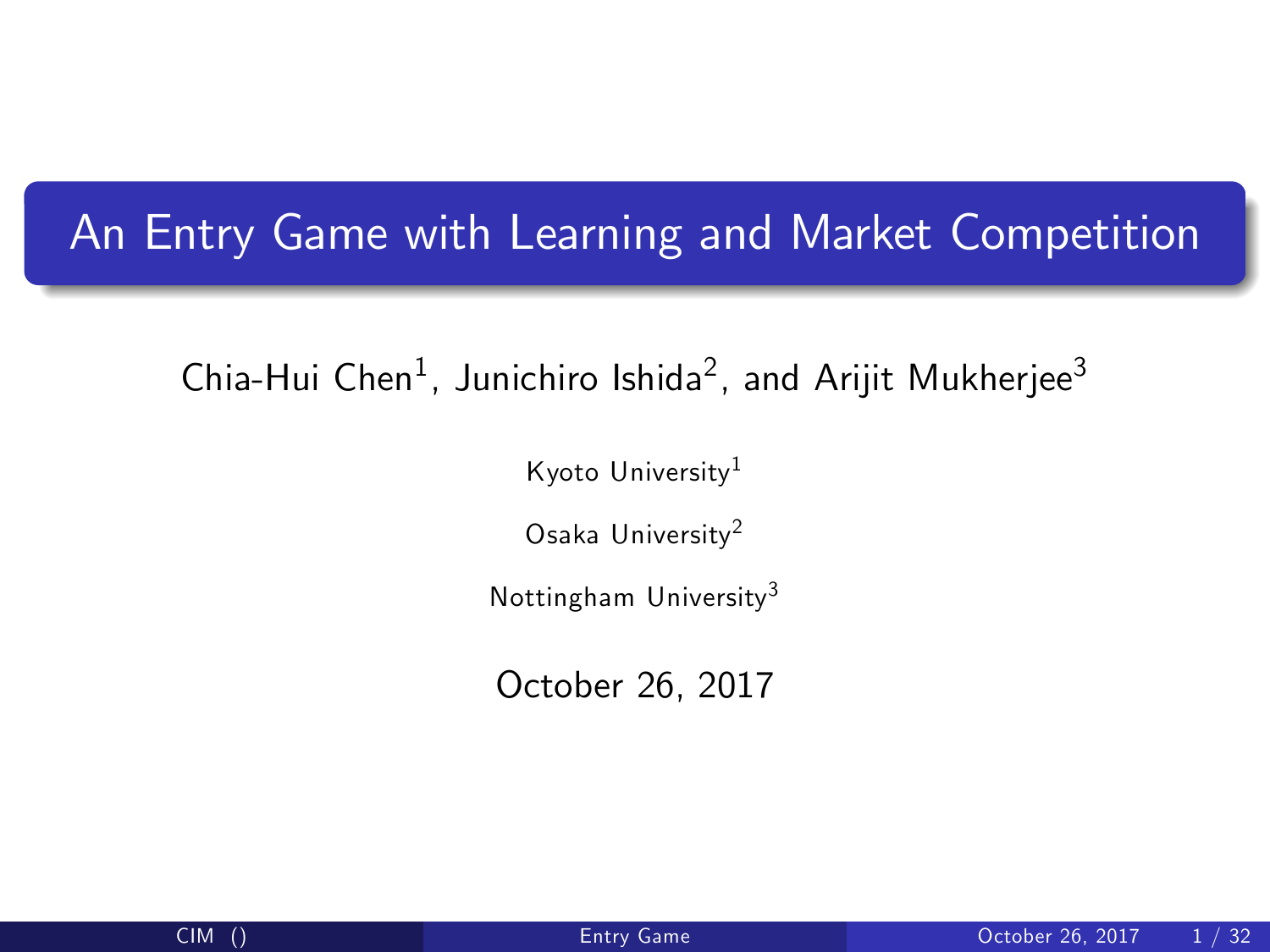# An Entry Game with Learning and Market Competition

Chia-Hui Chen $^1$ , Junichiro Ishida $^2$ , and Arijit Mukherjee $^3$ 

Kyoto University<sup>1</sup>

Osaka University<sup>2</sup>

Nottingham University<sup>3</sup>

<span id="page-0-0"></span>October 26, 2017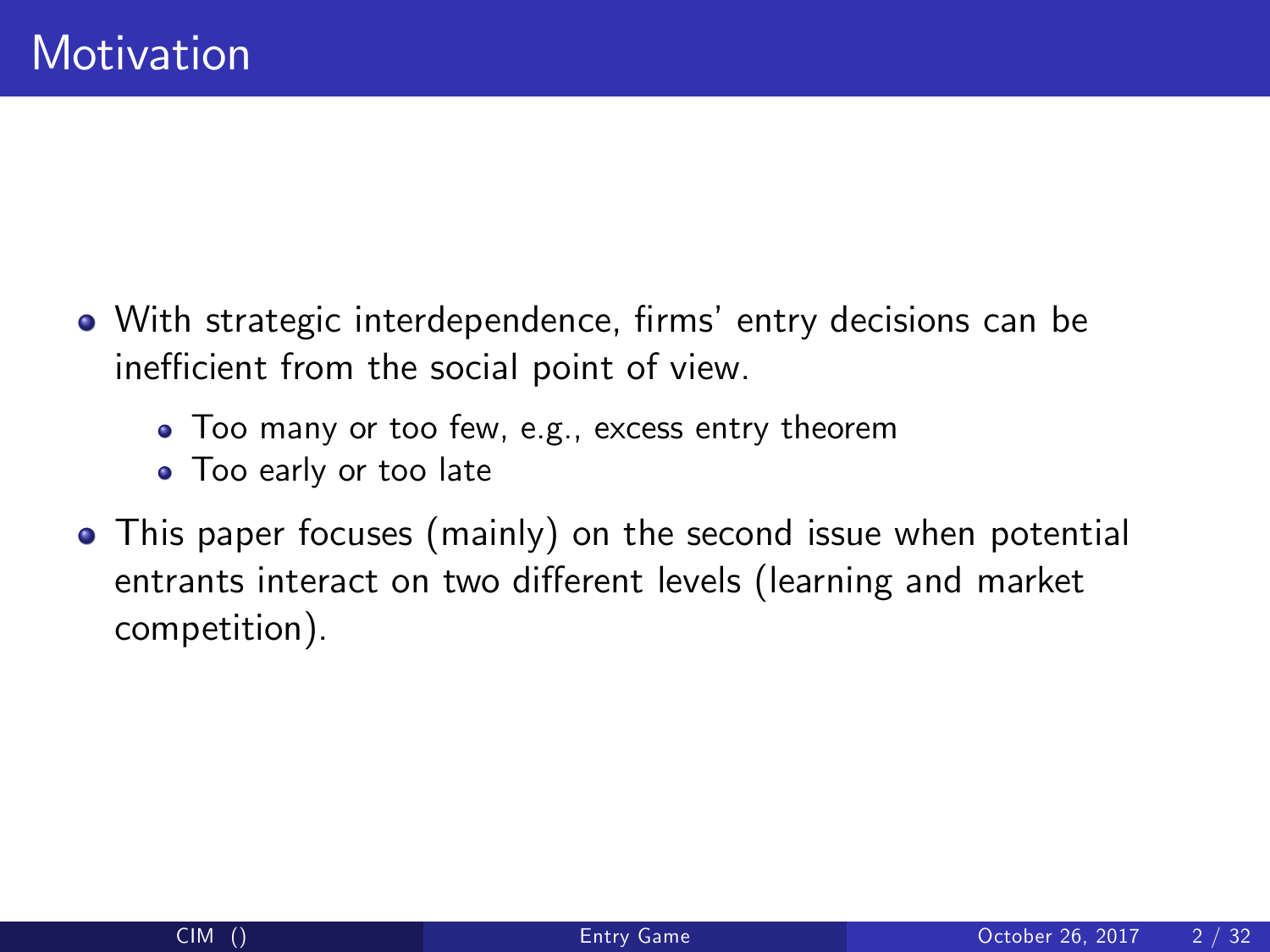- With strategic interdependence, firms' entry decisions can be inefficient from the social point of view.
	- Too many or too few, e.g., excess entry theorem
	- **•** Too early or too late
- This paper focuses (mainly) on the second issue when potential entrants interact on two different levels (learning and market competition).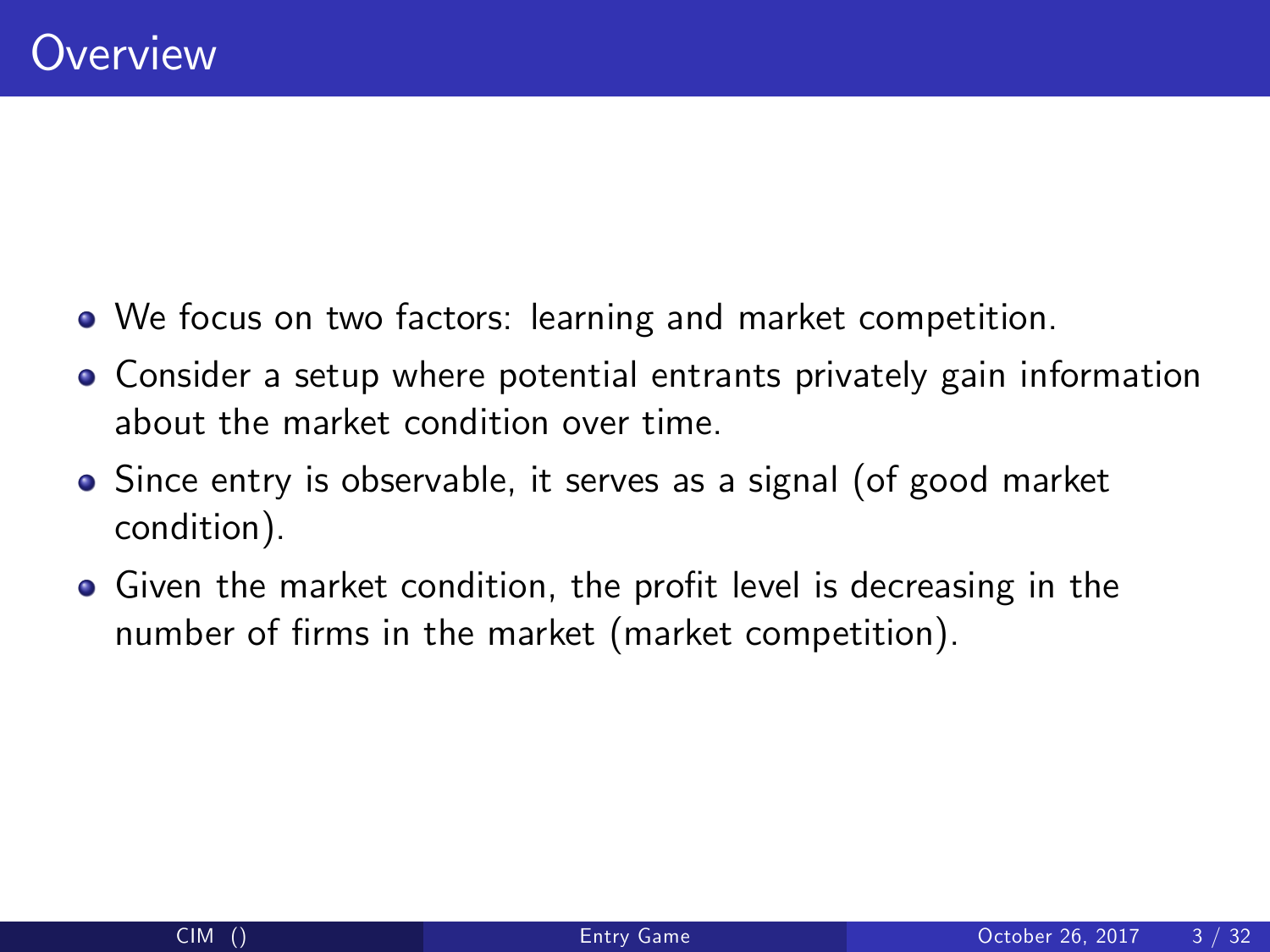- We focus on two factors: learning and market competition.
- Consider a setup where potential entrants privately gain information about the market condition over time.
- Since entry is observable, it serves as a signal (of good market condition).
- Given the market condition, the profit level is decreasing in the number of firms in the market (market competition).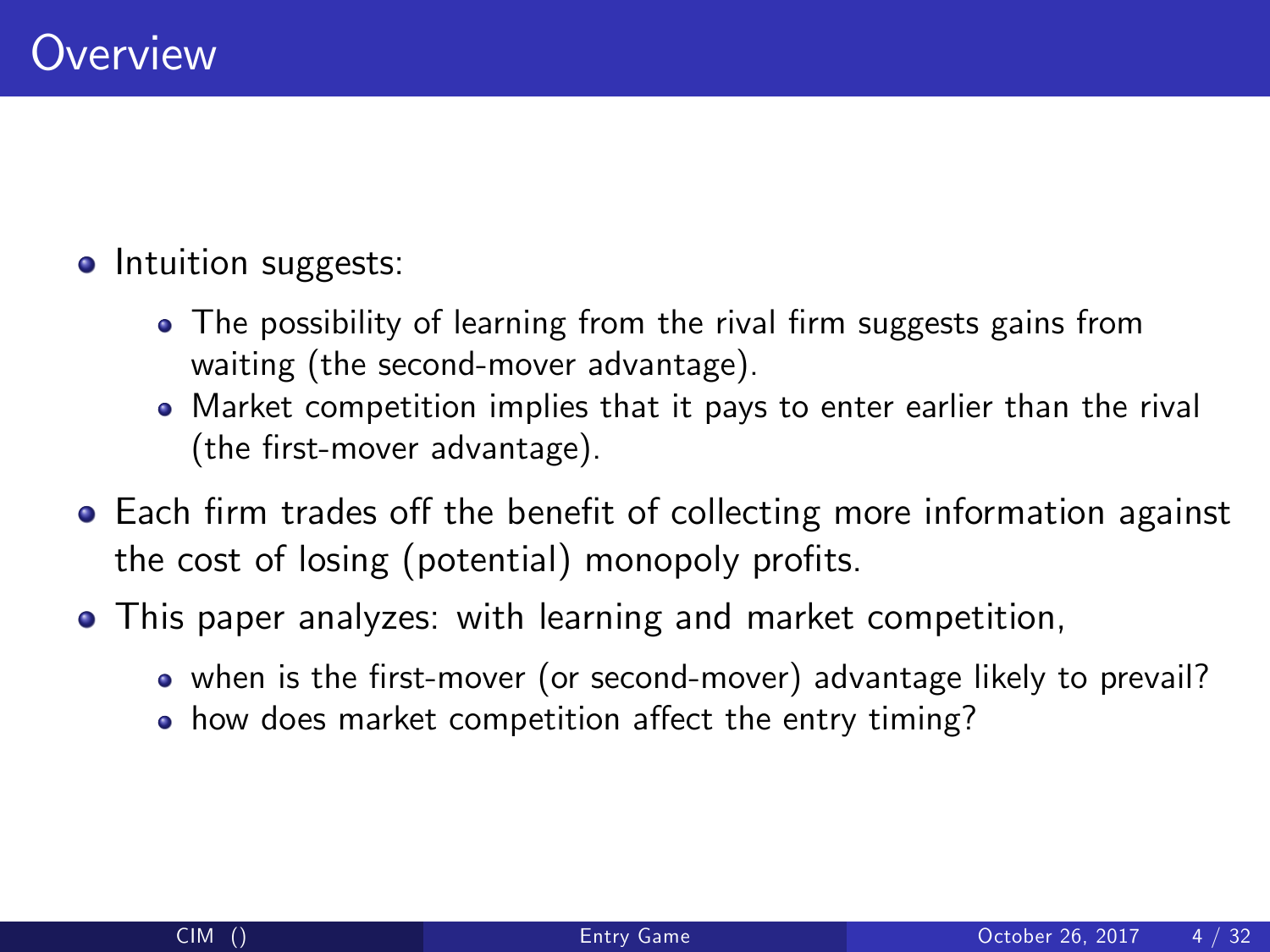#### • Intuition suggests:

- The possibility of learning from the rival firm suggests gains from waiting (the second-mover advantage).
- Market competition implies that it pays to enter earlier than the rival (the first-mover advantage).
- Each firm trades off the benefit of collecting more information against the cost of losing (potential) monopoly profits.
- This paper analyzes: with learning and market competition,
	- when is the first-mover (or second-mover) advantage likely to prevail?
	- how does market competition affect the entry timing?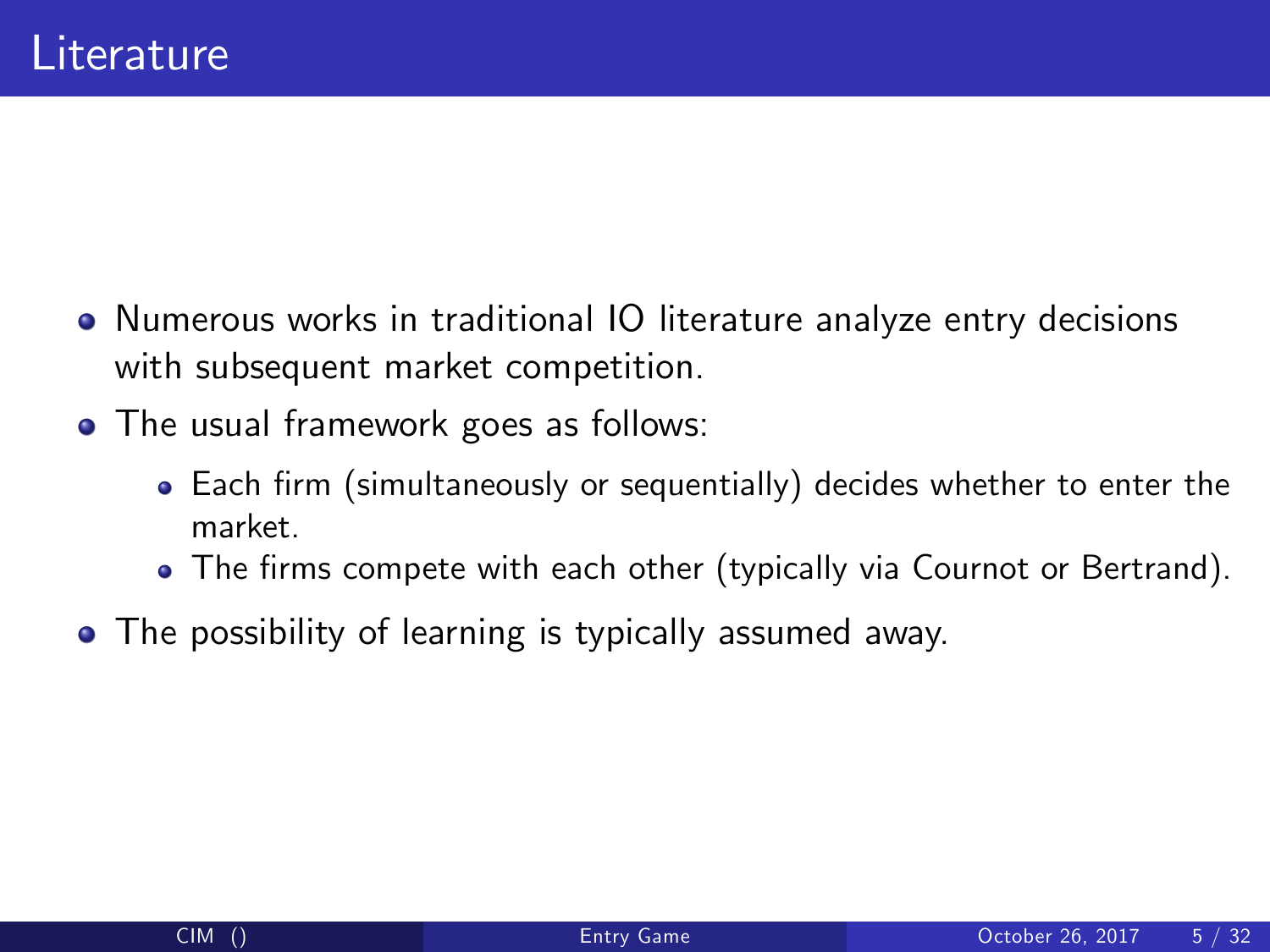- Numerous works in traditional IO literature analyze entry decisions with subsequent market competition.
- The usual framework goes as follows:
	- Each firm (simultaneously or sequentially) decides whether to enter the market.
	- The firms compete with each other (typically via Cournot or Bertrand).
- The possibility of learning is typically assumed away.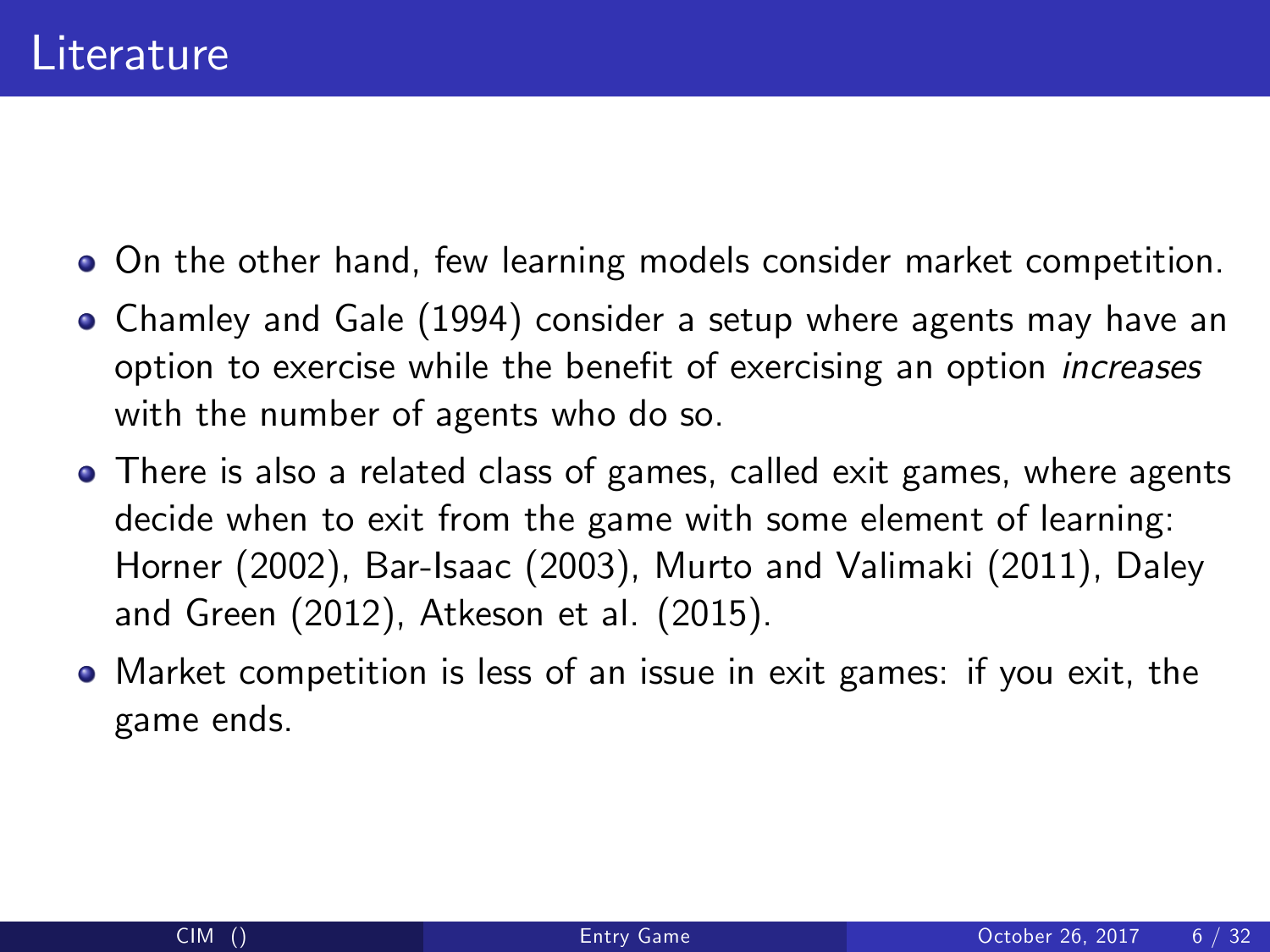- On the other hand, few learning models consider market competition.
- Chamley and Gale (1994) consider a setup where agents may have an option to exercise while the benefit of exercising an option *increases* with the number of agents who do so.
- There is also a related class of games, called exit games, where agents decide when to exit from the game with some element of learning: Horner (2002), Bar-Isaac (2003), Murto and Valimaki (2011), Daley and Green (2012), Atkeson et al. (2015).
- Market competition is less of an issue in exit games: if you exit, the game ends.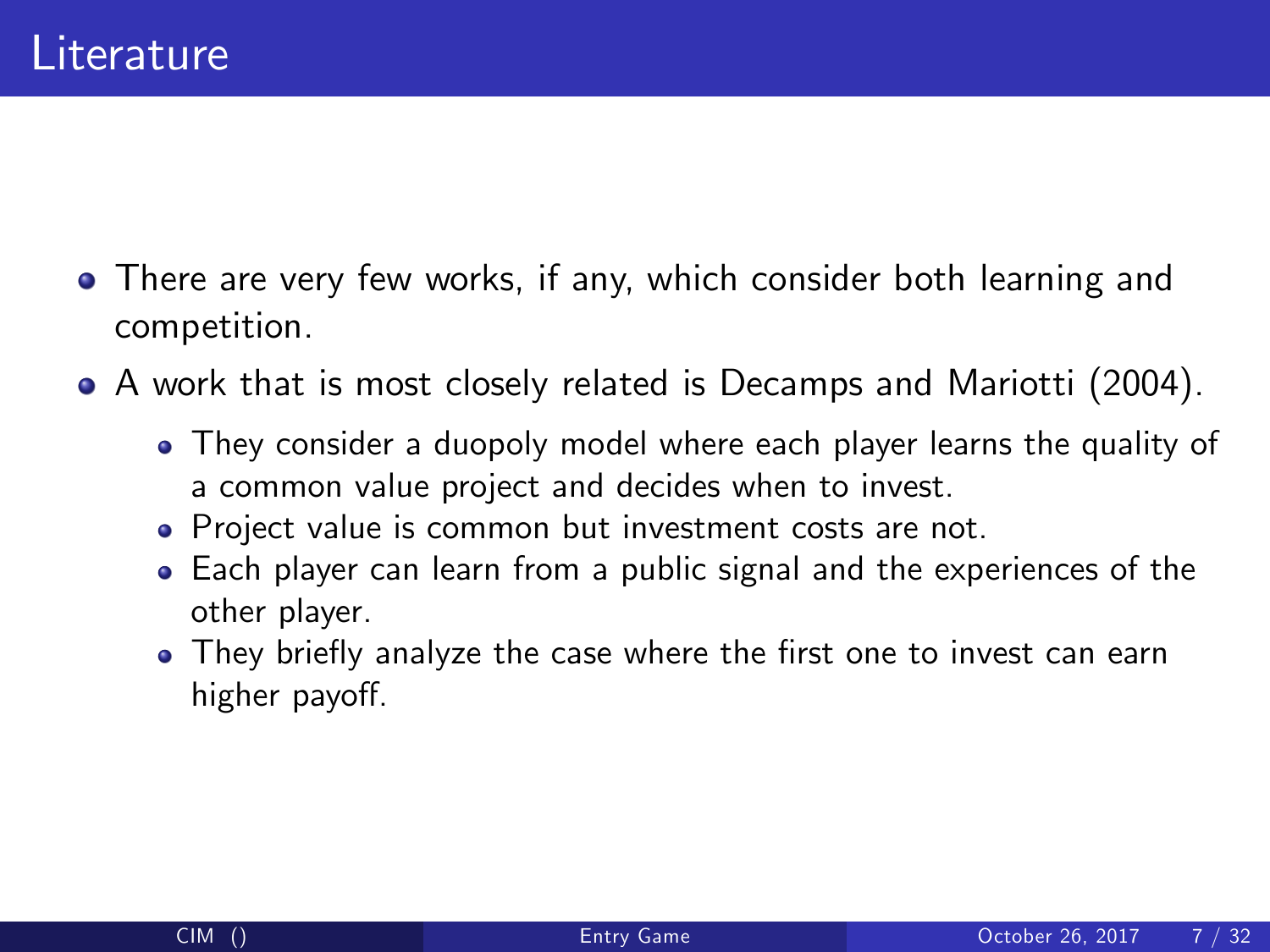- There are very few works, if any, which consider both learning and competition.
- A work that is most closely related is Decamps and Mariotti (2004).
	- They consider a duopoly model where each player learns the quality of a common value project and decides when to invest.
	- Project value is common but investment costs are not.
	- Each player can learn from a public signal and the experiences of the other player.
	- They briefly analyze the case where the first one to invest can earn higher payoff.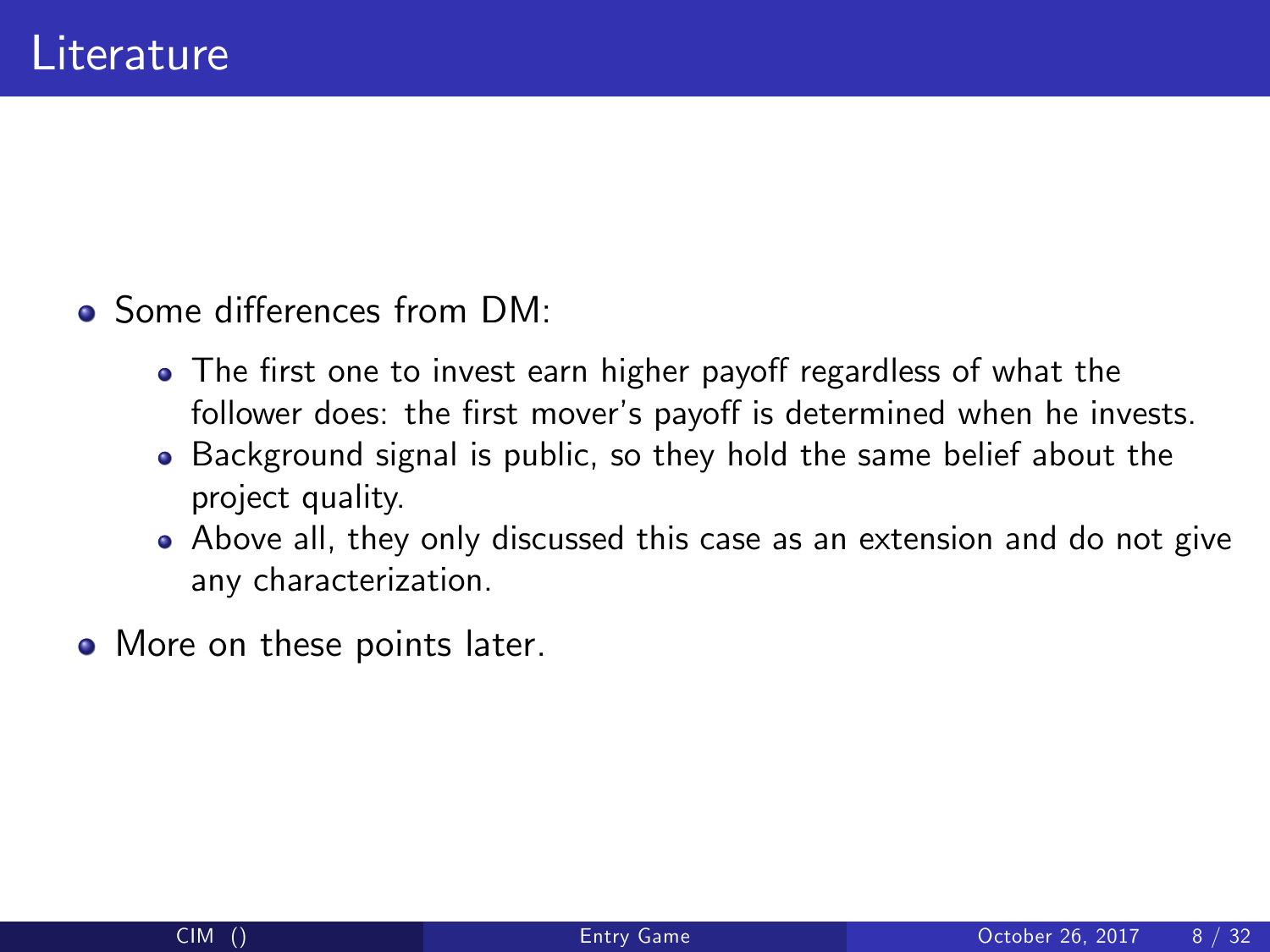- **o** Some differences from DM.
	- The first one to invest earn higher payoff regardless of what the follower does: the first mover's payoff is determined when he invests.
	- Background signal is public, so they hold the same belief about the project quality.
	- Above all, they only discussed this case as an extension and do not give any characterization.
- More on these points later.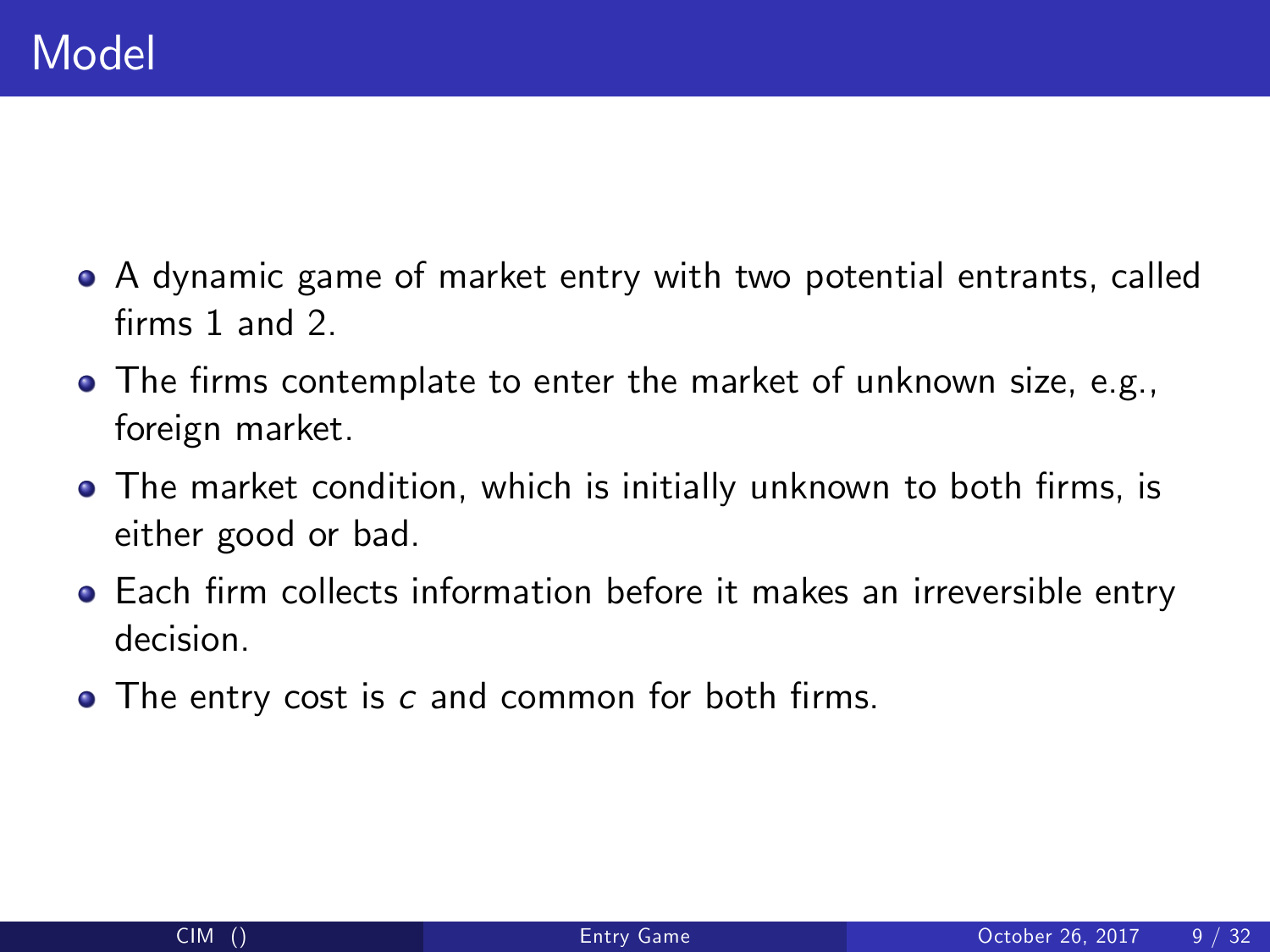- A dynamic game of market entry with two potential entrants, called firms 1 and 2.
- The firms contemplate to enter the market of unknown size, e.g., foreign market.
- The market condition, which is initially unknown to both firms, is either good or bad.
- Each firm collects information before it makes an irreversible entry decision.
- The entry cost is c and common for both firms.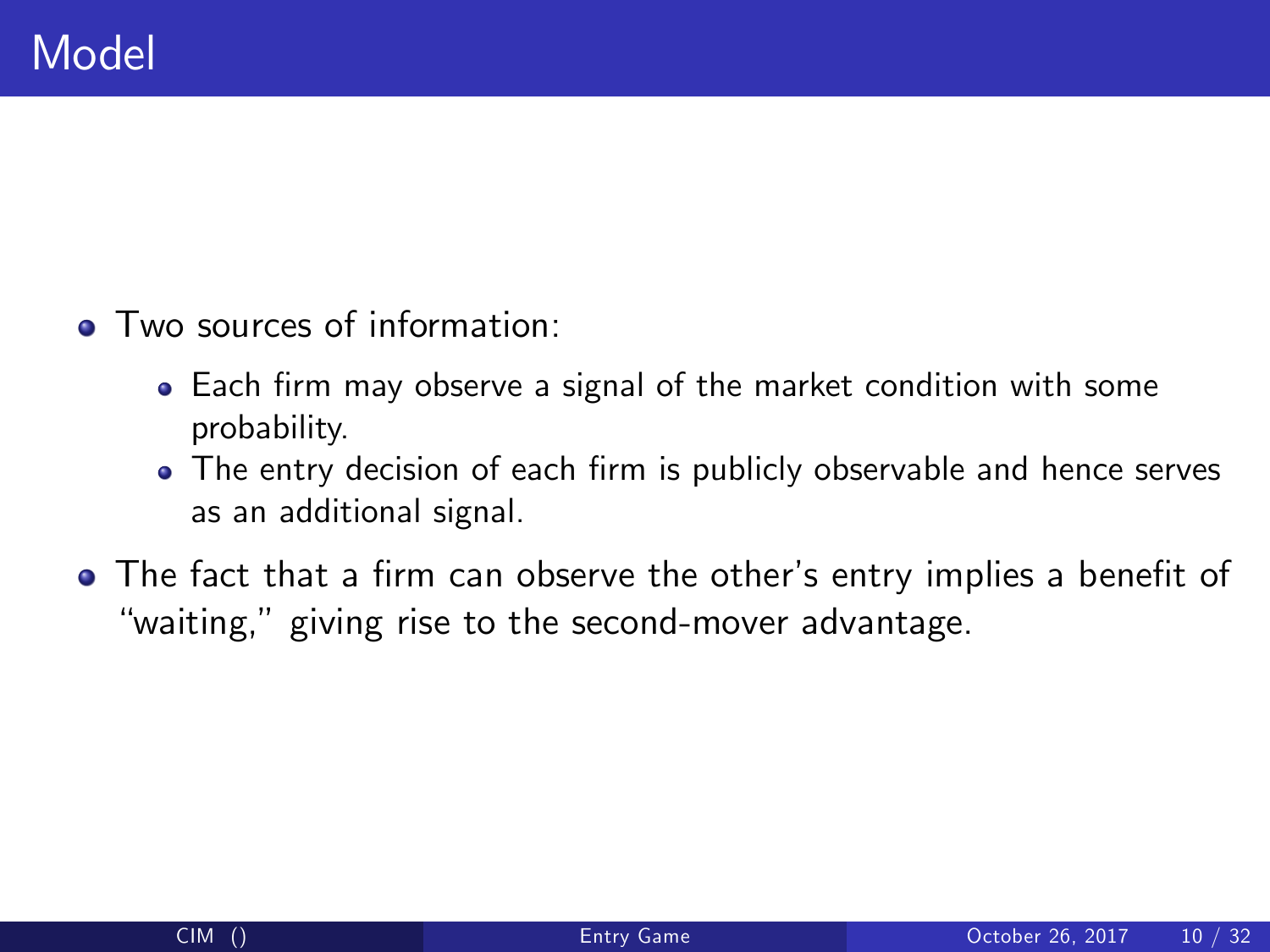- Two sources of information:
	- Each firm may observe a signal of the market condition with some probability.
	- The entry decision of each firm is publicly observable and hence serves as an additional signal.
- The fact that a firm can observe the other's entry implies a benefit of "waiting," giving rise to the second-mover advantage.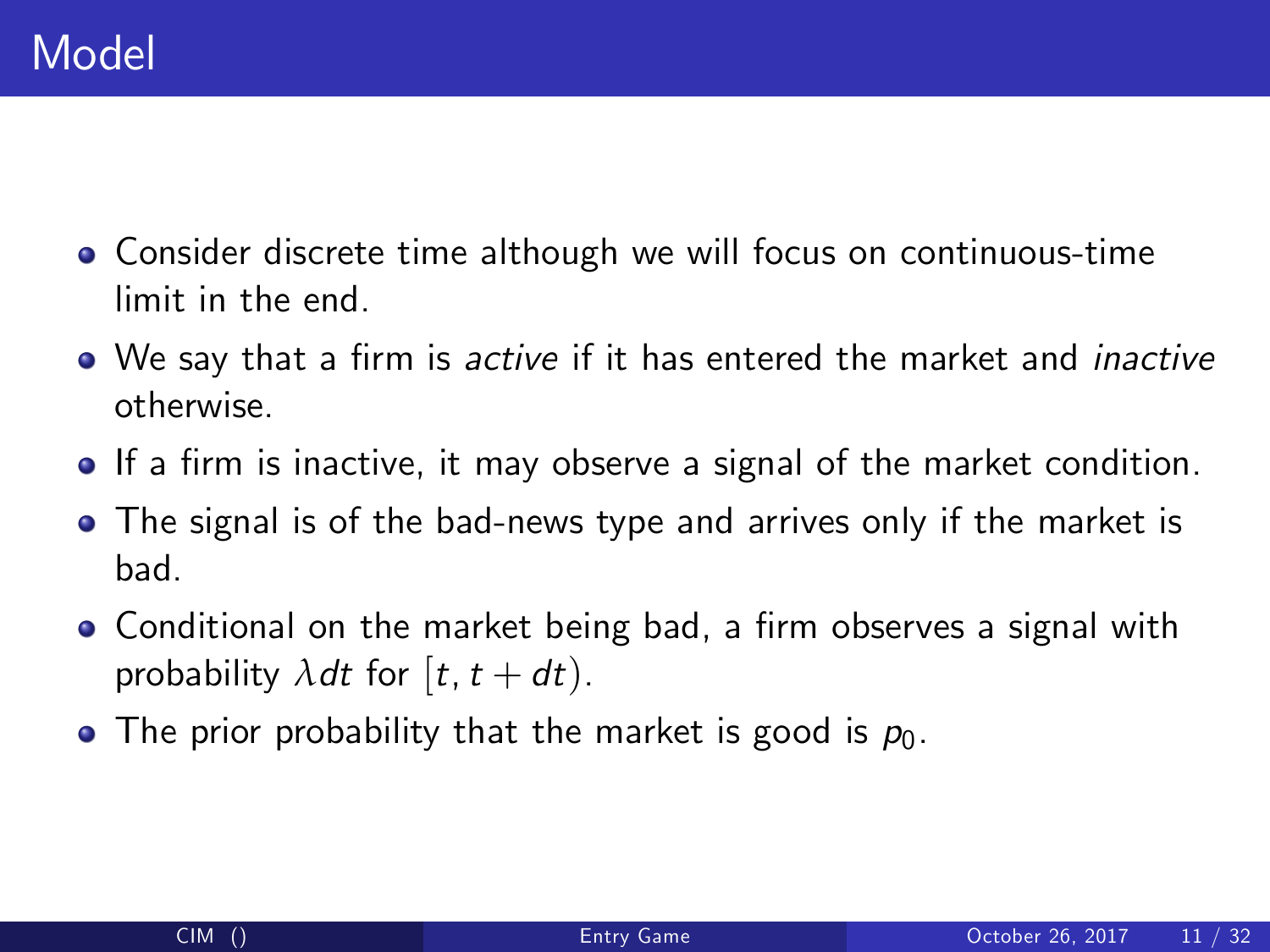- Consider discrete time although we will focus on continuous-time limit in the end.
- We say that a firm is *active* if it has entered the market and *inactive* otherwise.
- **If a firm is inactive, it may observe a signal of the market condition.**
- The signal is of the bad-news type and arrives only if the market is bad.
- Conditional on the market being bad, a firm observes a signal with probability  $\lambda dt$  for  $[t, t + dt)$ .
- The prior probability that the market is good is  $p_0$ .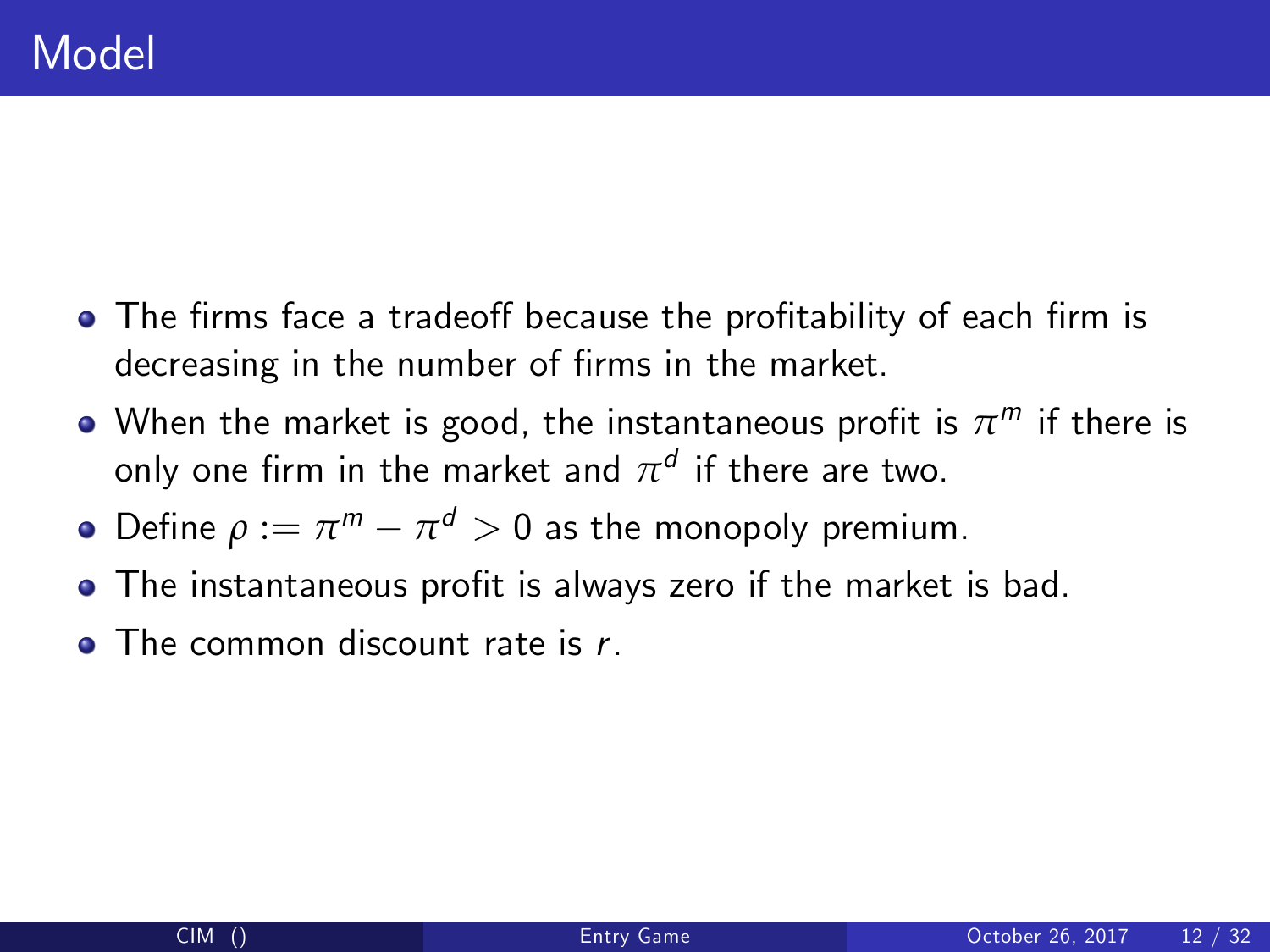- The firms face a tradeoff because the profitability of each firm is decreasing in the number of firms in the market.
- When the market is good, the instantaneous profit is  $\pi^m$  if there is only one firm in the market and  $\pi^d$  if there are two.
- Define  $\rho := \pi^m \pi^d > 0$  as the monopoly premium.
- The instantaneous profit is always zero if the market is bad.
- The common discount rate is r.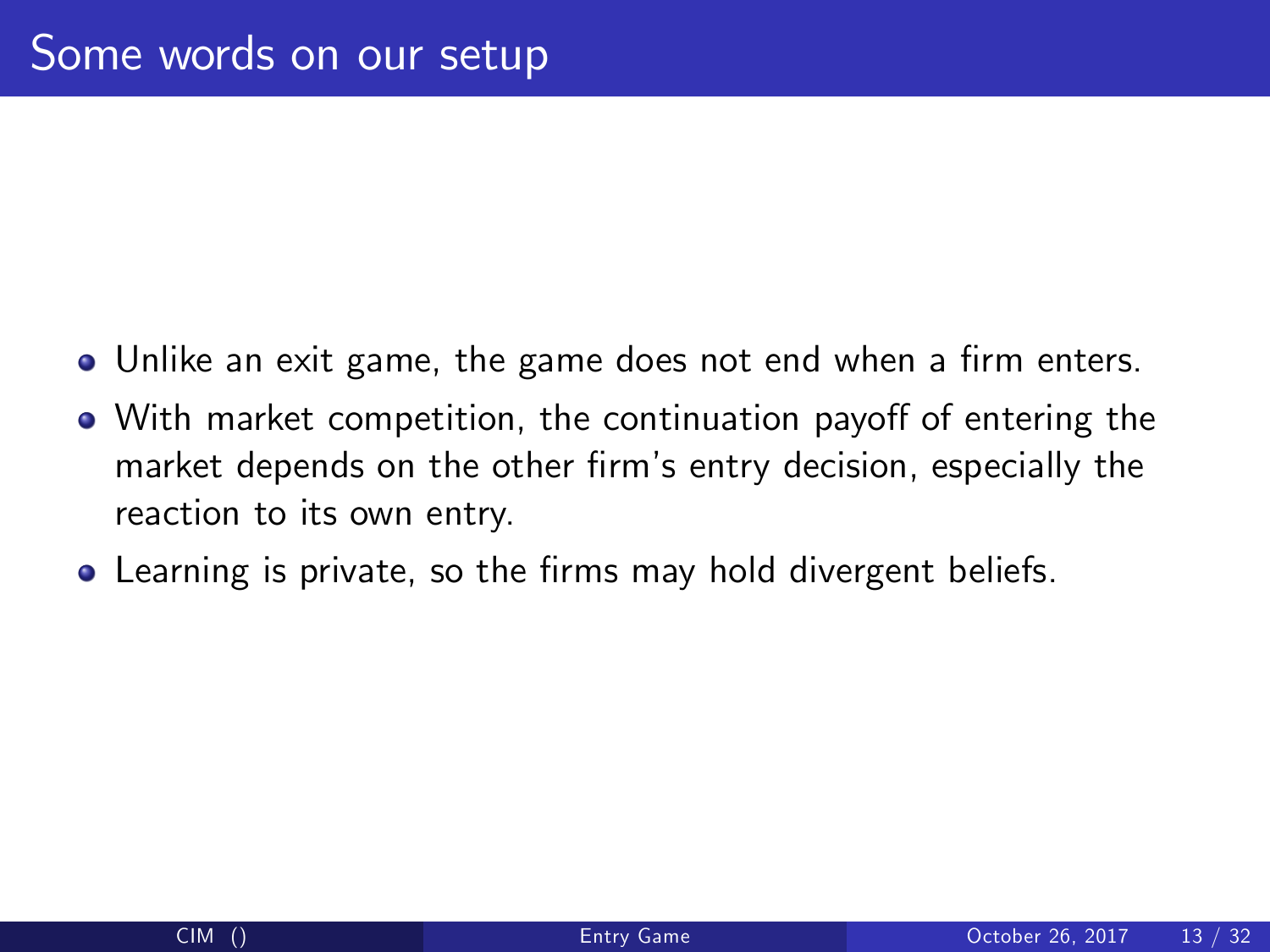- Unlike an exit game, the game does not end when a firm enters.
- . With market competition, the continuation payoff of entering the market depends on the other firm's entry decision, especially the reaction to its own entry.
- **•** Learning is private, so the firms may hold divergent beliefs.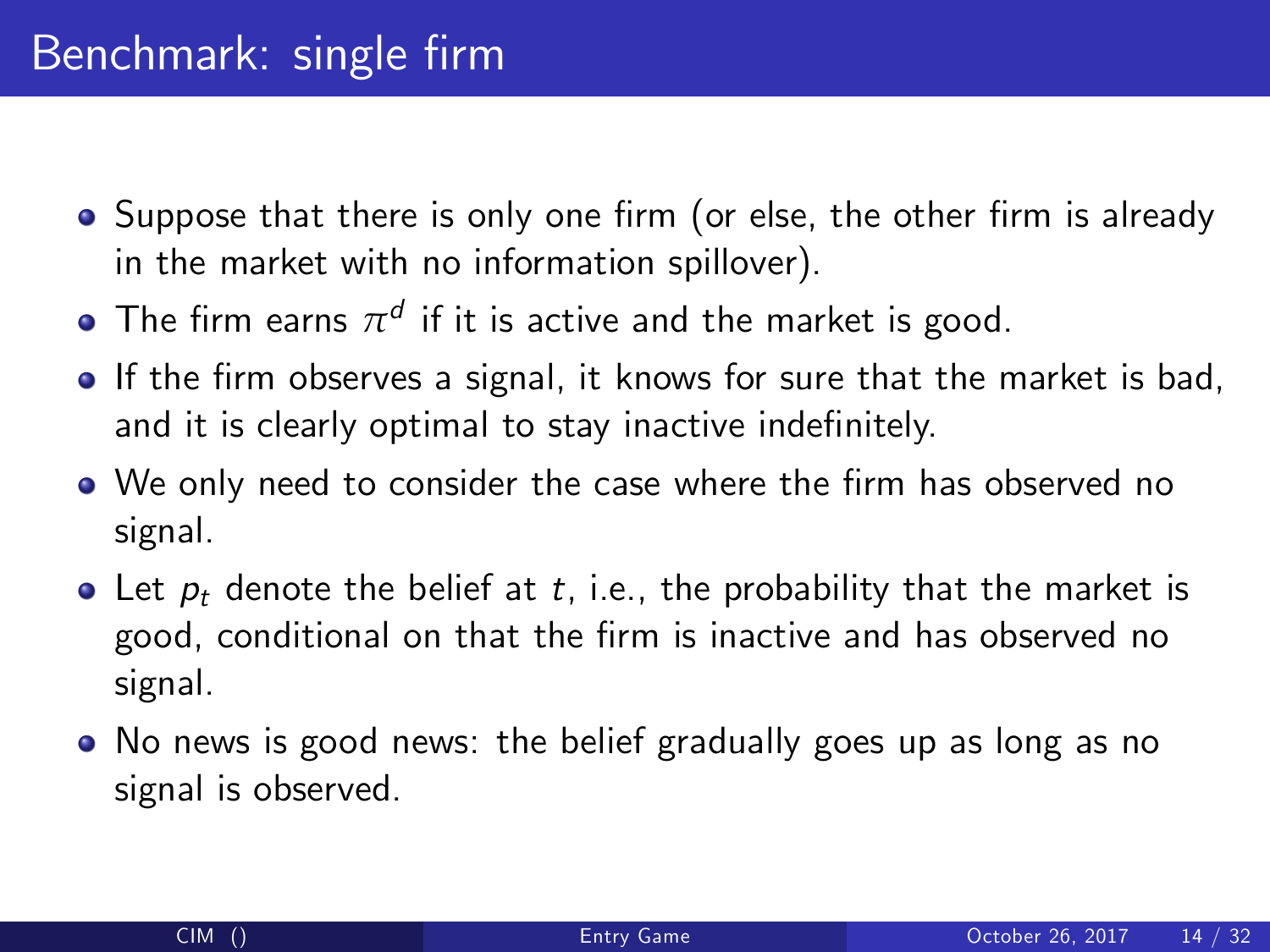- Suppose that there is only one firm (or else, the other firm is already in the market with no information spillover).
- The firm earns  $\pi^d$  if it is active and the market is good.
- If the firm observes a signal, it knows for sure that the market is bad, and it is clearly optimal to stay inactive indefinitely.
- We only need to consider the case where the firm has observed no signal.
- Let  $p_t$  denote the belief at t, i.e., the probability that the market is good, conditional on that the firm is inactive and has observed no signal.
- No news is good news: the belief gradually goes up as long as no signal is observed.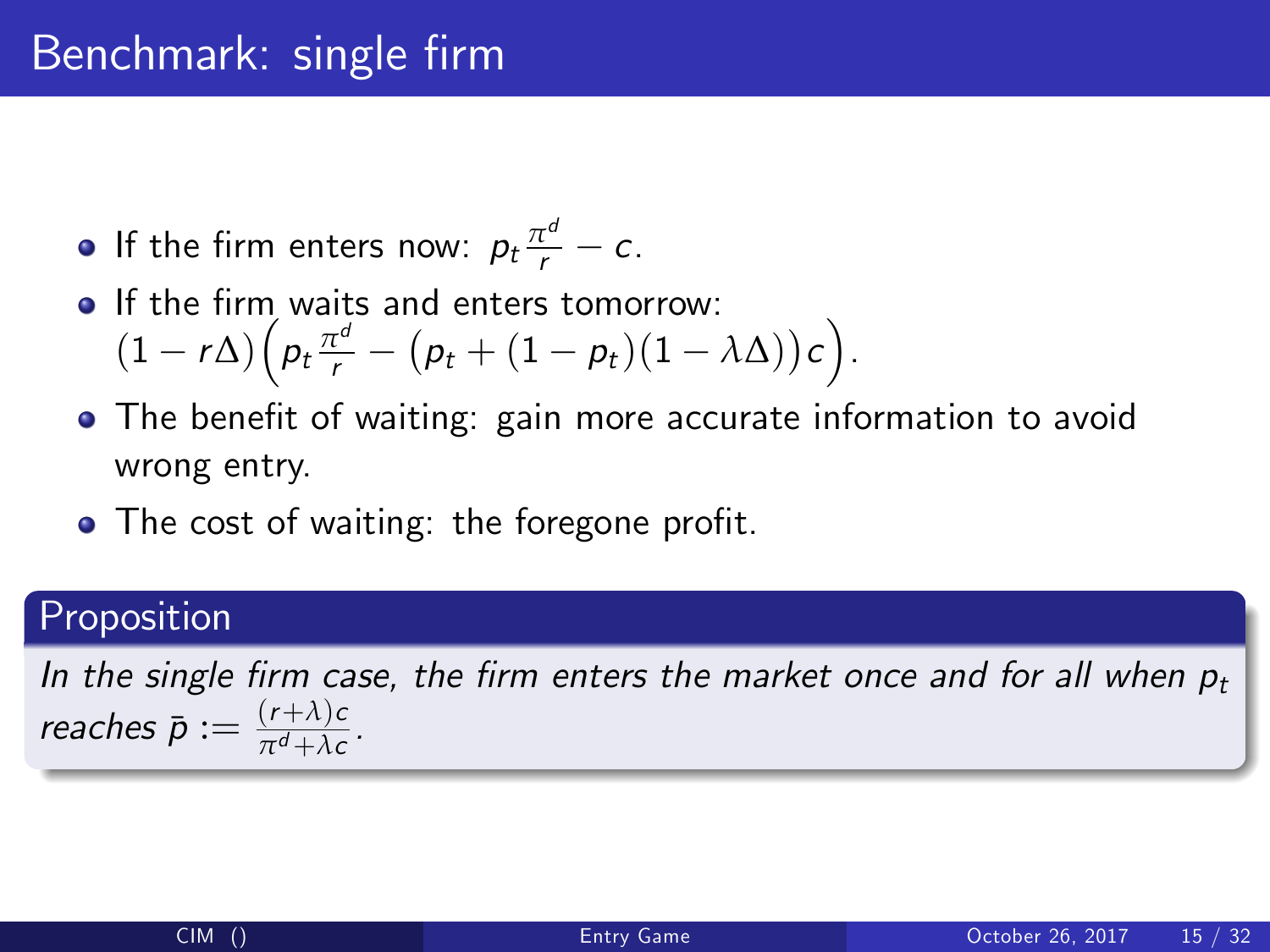### Benchmark: single firm

- If the firm enters now:  $p_t \frac{\pi^d}{r} c$ .
- **If the firm waits and enters tomorrow:**  $(1-r\Delta)\left(p_t\frac{\pi^d}{r}-(p_t+(1-p_t)(1-\lambda\Delta))c\right).$
- The benefit of waiting: gain more accurate information to avoid wrong entry.
- $\bullet$  The cost of waiting: the foregone profit.

#### Proposition

In the single firm case, the firm enters the market once and for all when  $p_t$ reaches  $\bar{p} := \frac{(r+\lambda)c}{\pi^d + \lambda c}$  $\frac{(1+\lambda)c}{\pi^d + \lambda c}$ .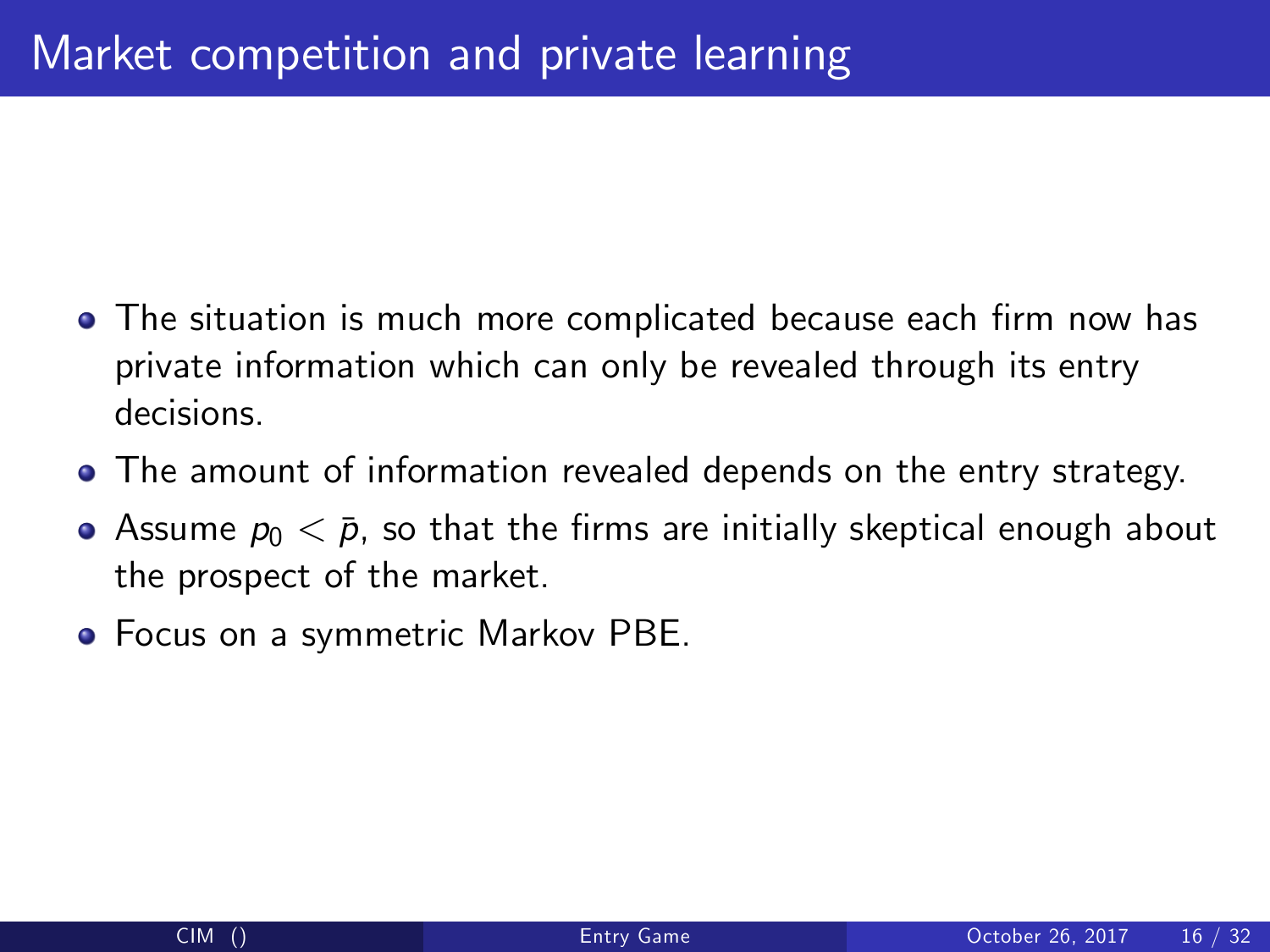- The situation is much more complicated because each firm now has private information which can only be revealed through its entry decisions.
- The amount of information revealed depends on the entry strategy.
- Assume  $p_0 < \bar{p}$ , so that the firms are initially skeptical enough about the prospect of the market.
- Focus on a symmetric Markov PBE.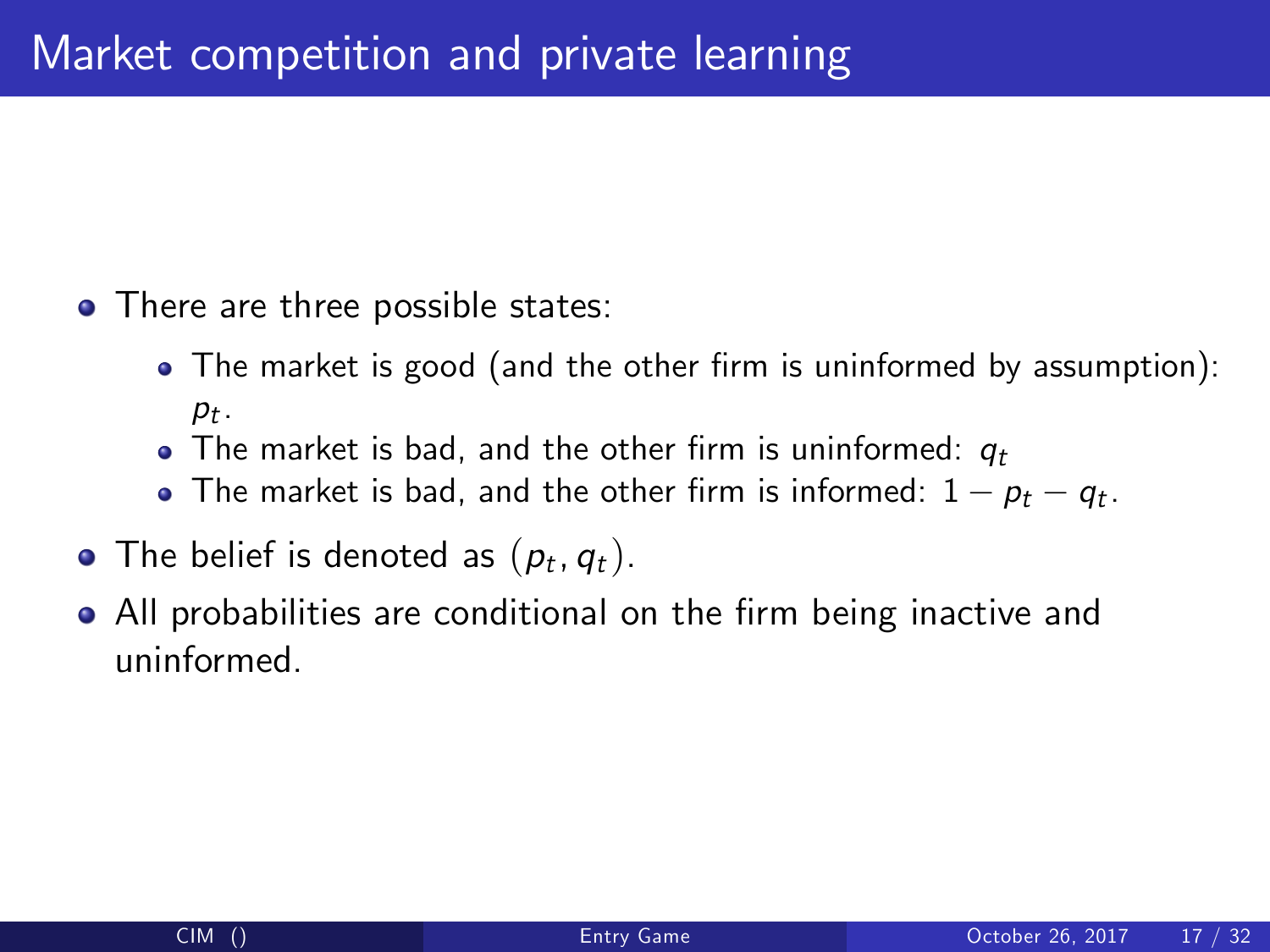- There are three possible states:
	- The market is good (and the other firm is uninformed by assumption):  $p_t$ .
	- The market is bad, and the other firm is uninformed:  $q_t$
	- The market is bad, and the other firm is informed:  $1 p_t q_t$ .
- The belief is denoted as  $(p_t, q_t)$ .
- All probabilities are conditional on the firm being inactive and uninformed.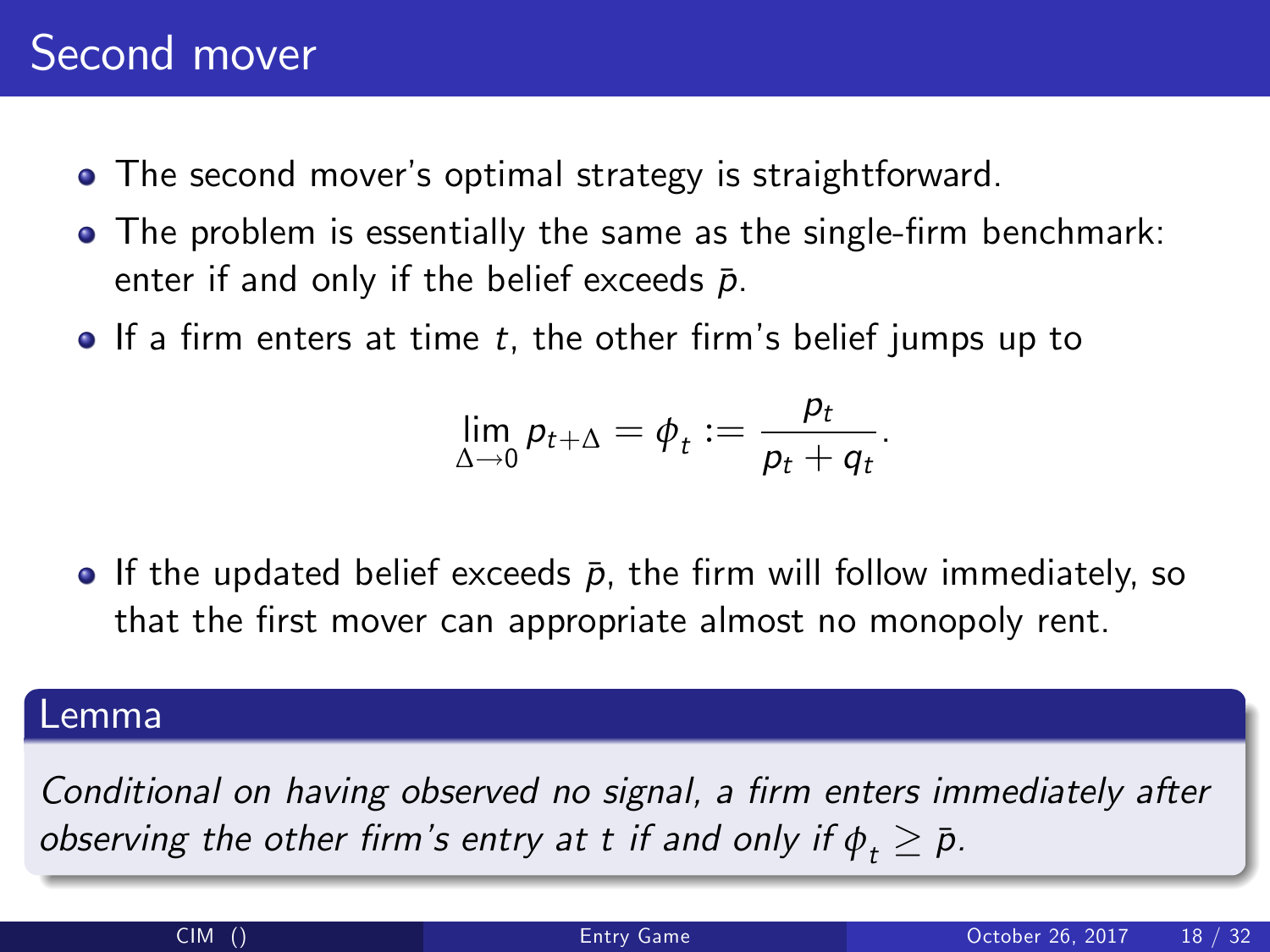# Second mover

- The second mover's optimal strategy is straightforward.
- The problem is essentially the same as the single-firm benchmark: enter if and only if the belief exceeds  $\bar{p}$ .
- $\bullet$  If a firm enters at time t, the other firm's belief jumps up to

$$
\lim_{\Delta\to 0}p_{t+\Delta}=\phi_t:=\frac{p_t}{p_t+q_t}.
$$

**•** If the updated belief exceeds  $\bar{p}$ , the firm will follow immediately, so that the first mover can appropriate almost no monopoly rent.

#### Lemma

Conditional on having observed no signal, a firm enters immediately after observing the other firm's entry at t if and only if  $\phi_{\star} \geq \bar{p}$ .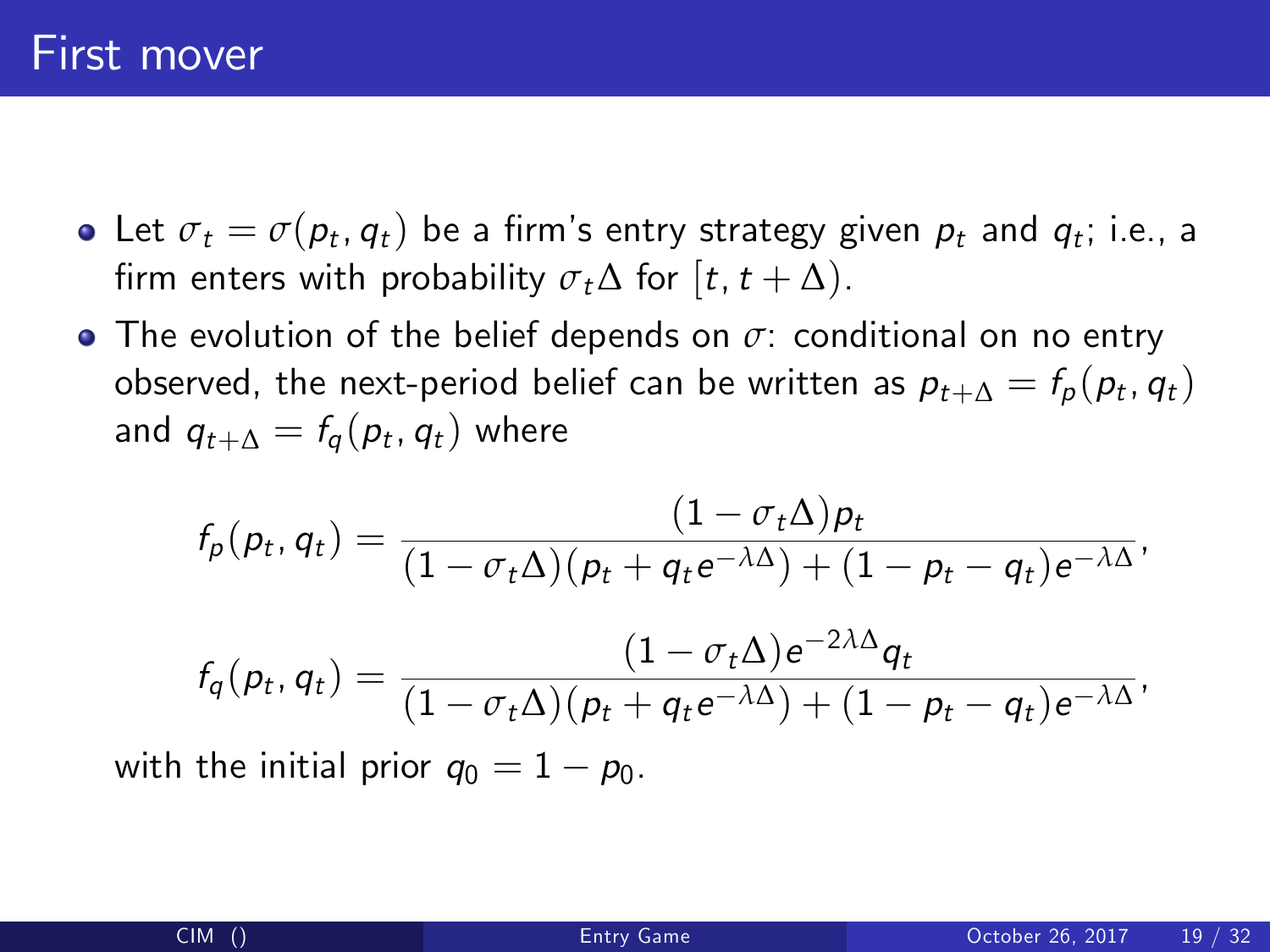- Let  $\sigma_t = \sigma(\mathcal{p}_t, \mathcal{q}_t)$  be a firm's entry strategy given  $\mathcal{p}_t$  and  $\mathcal{q}_t$ ; i.e., a firm enters with probability  $\sigma_t\Delta$  for [t, t +  $\Delta$ ).
- The evolution of the belief depends on *σ*: conditional on no entry observed, the next-period belief can be written as  $p_{t+\Delta} = f_p(p_t,q_t)$ and  $q_{t+\Delta} = \mathit{f_q}(\mathit{p_t}, \mathit{q_t})$  where

$$
f_p(p_t, q_t) = \frac{(1 - \sigma_t \Delta)p_t}{(1 - \sigma_t \Delta)(p_t + q_t e^{-\lambda \Delta}) + (1 - p_t - q_t)e^{-\lambda \Delta}},
$$

$$
f_q(p_t, q_t) = \frac{(1 - \sigma_t \Delta) e^{-2\lambda \Delta} q_t}{(1 - \sigma_t \Delta) (p_t + q_t e^{-\lambda \Delta}) + (1 - p_t - q_t) e^{-\lambda \Delta}},
$$

with the initial prior  $q_0 = 1 - p_0$ .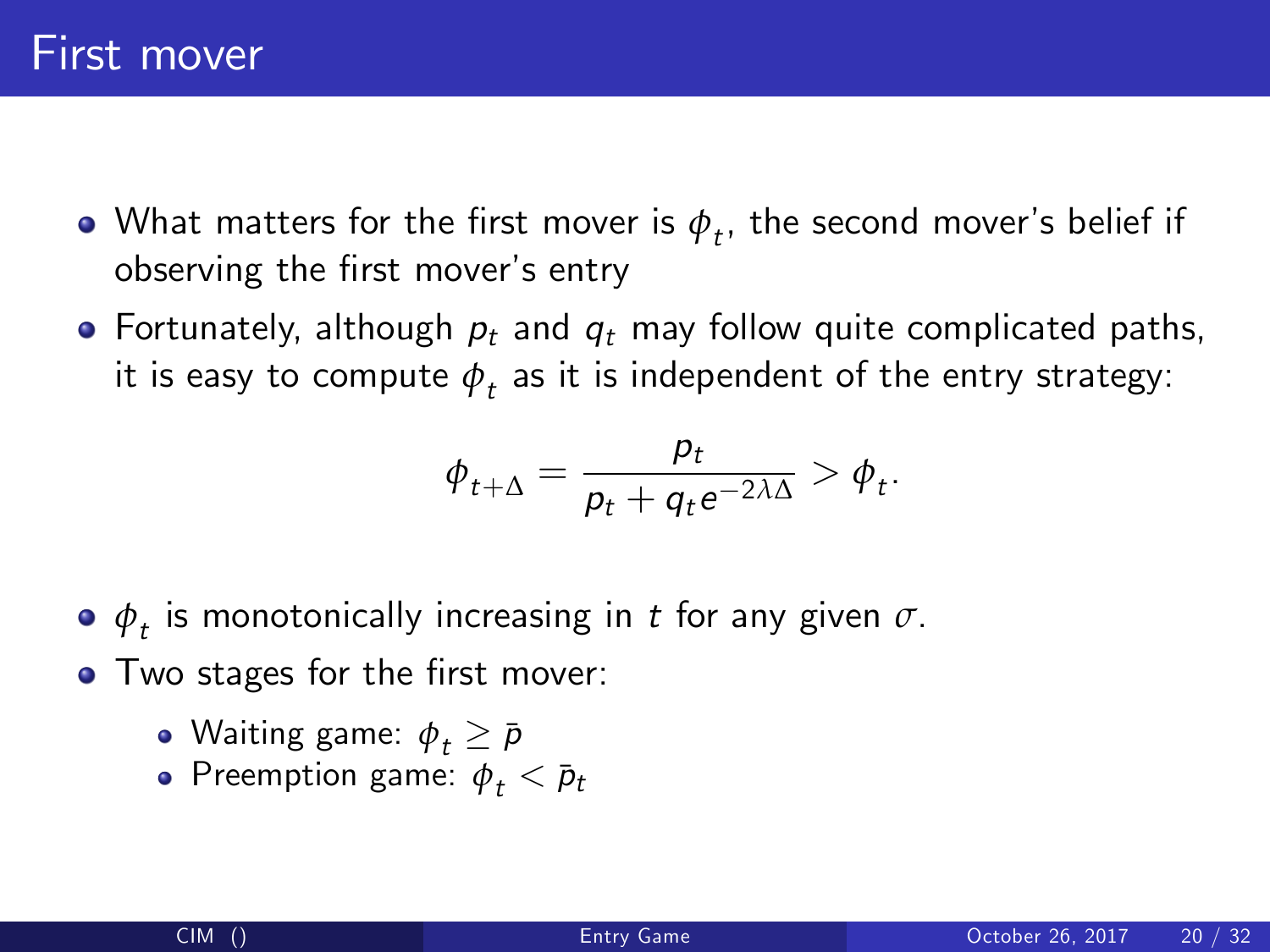- What matters for the first mover is  $\phi_{\it t}$ , the second mover's belief if observing the first mover's entry
- Fortunately, although  $p_t$  and  $q_t$  may follow quite complicated paths, it is easy to compute  $\phi_{t}$  as it is independent of the entry strategy:

$$
\phi_{t+\Delta} = \frac{p_t}{p_t + q_t e^{-2\lambda\Delta}} > \phi_t.
$$

- $\boldsymbol{\phi}_t$  is monotonically increasing in  $t$  for any given  $\sigma.$
- Two stages for the first mover:
	- Waiting game:  $\phi_t \geq \bar{p}$
	- Preemption game:  $\phi_t < \bar{p}_t$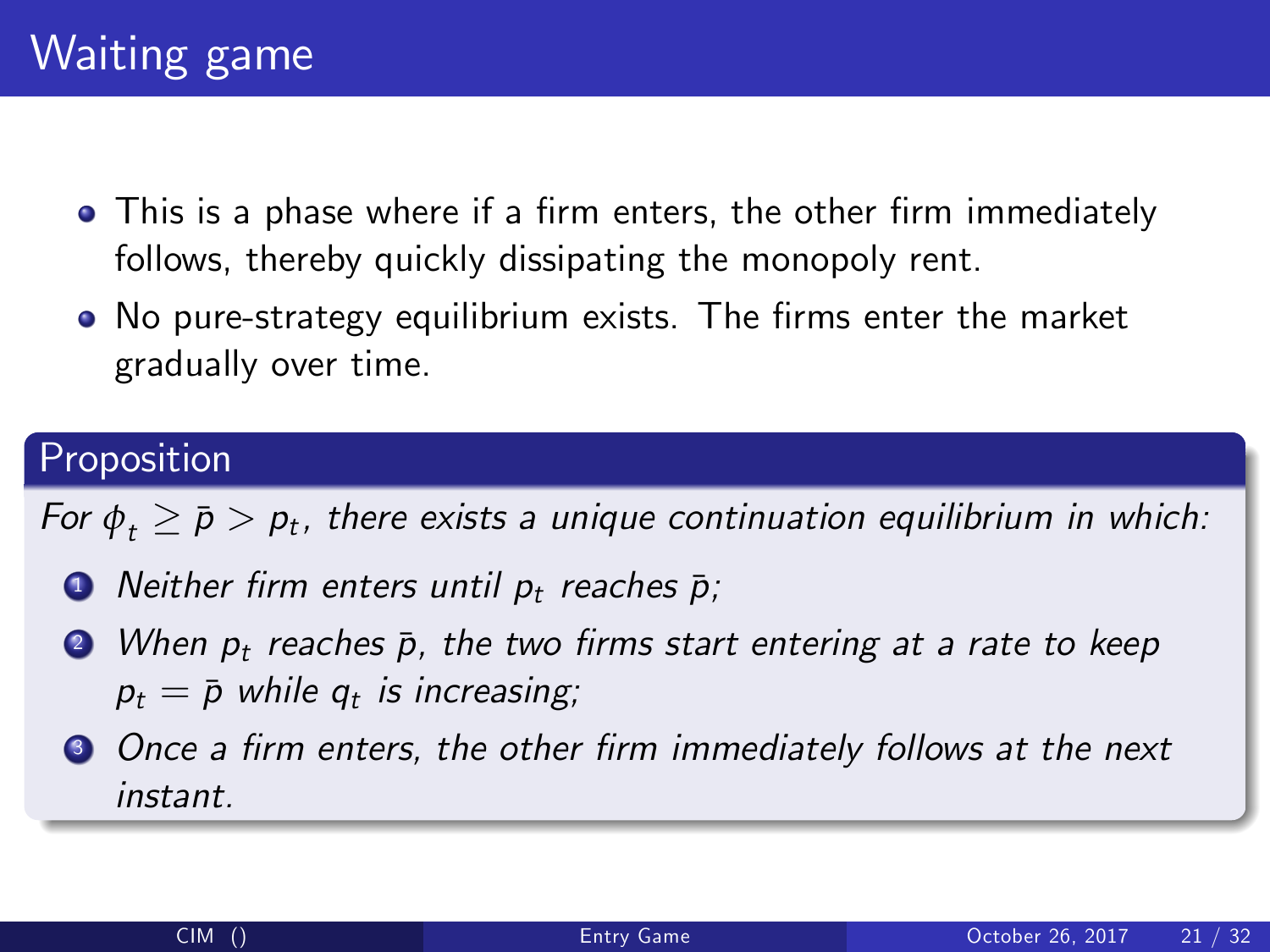- This is a phase where if a firm enters, the other firm immediately follows, thereby quickly dissipating the monopoly rent.
- No pure-strategy equilibrium exists. The firms enter the market gradually over time.

For  $\phi_t \ge \bar{p} > p_t$ , there exists a unique continuation equilibrium in which:

- $\bullet$  Neither firm enters until  $p_t$  reaches  $\bar{p}$ ;
- $\bullet$  When  $p_t$  reaches  $\bar{p}$ , the two firms start entering at a rate to keep  $p_t = \bar{p}$  while  $q_t$  is increasing;
- **3** Once a firm enters, the other firm immediately follows at the next instant.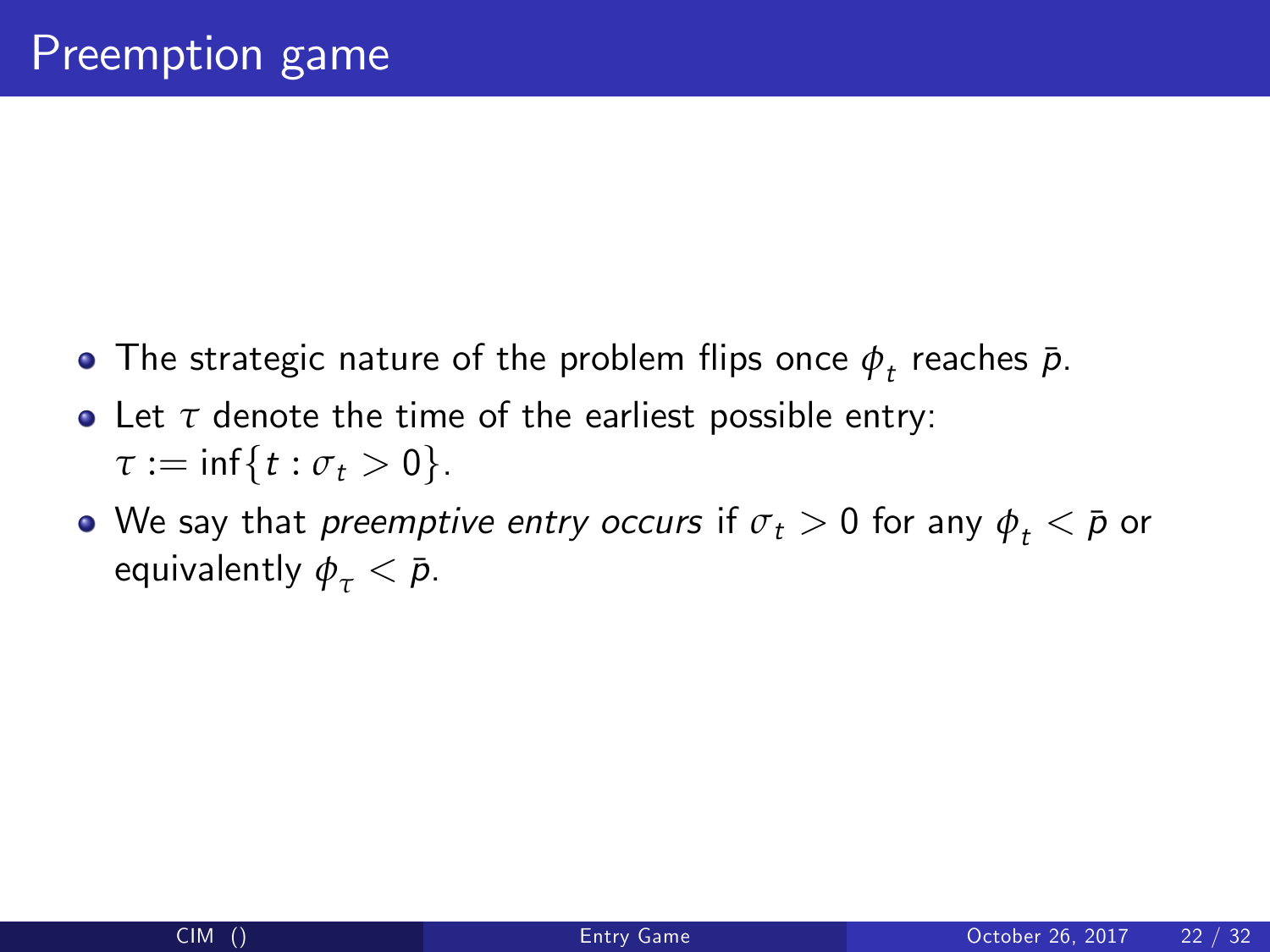- The strategic nature of the problem flips once  $\phi_{\it t}$  reaches  $\bar{\rho}.$
- Let *τ* denote the time of the earliest possible entry:  $\tau := \inf\{t : \sigma_t > 0\}.$
- We say that *preemptive entry occurs* if  $\sigma_t > 0$  for any  $\phi_t < \bar{p}$  or equivalently  $\phi_{\tau} < \bar{p}$ .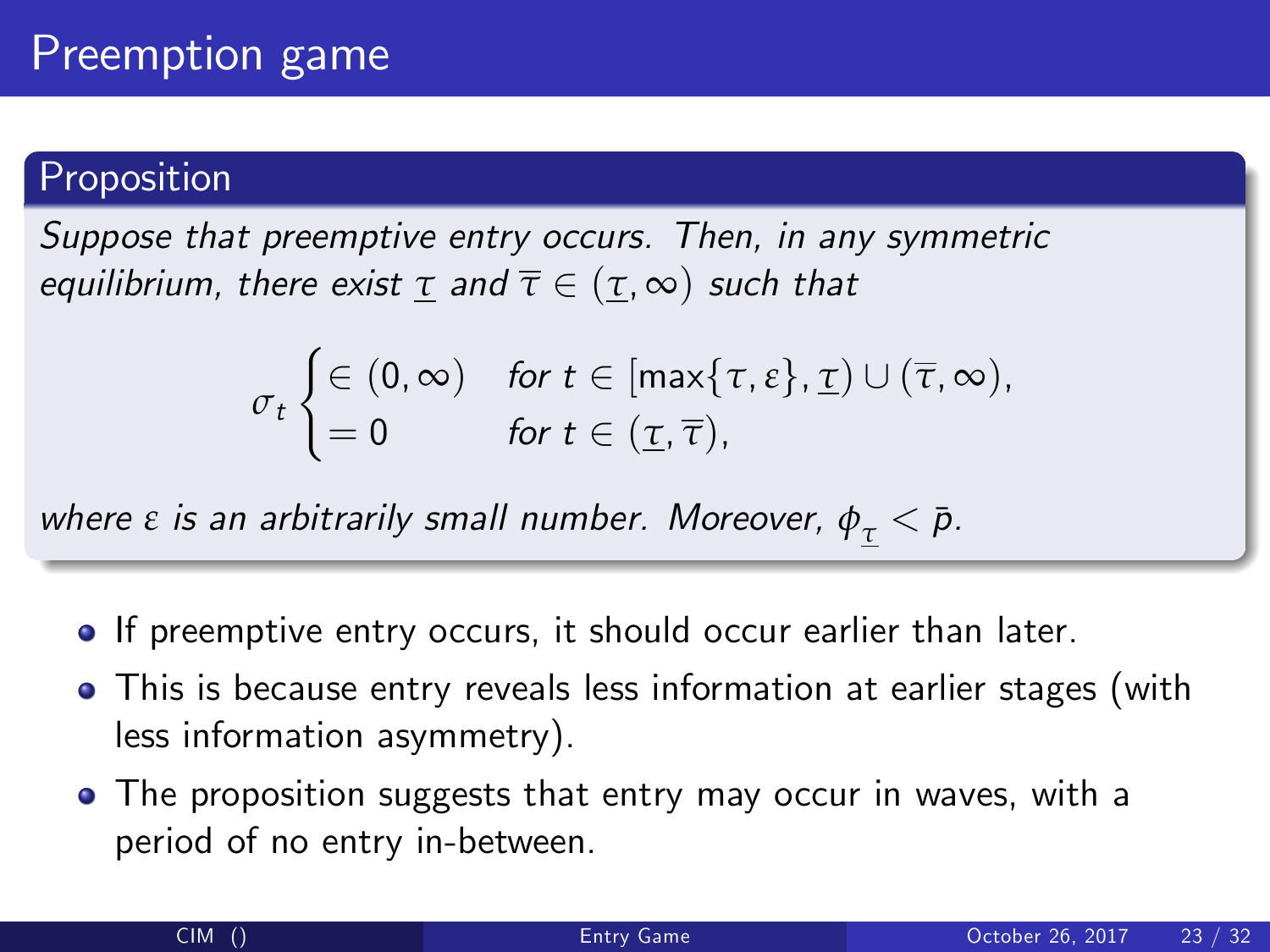Suppose that preemptive entry occurs. Then, in any symmetric equilibrium, there exist  $\tau$  and  $\overline{\tau} \in (\tau, \infty)$  such that

$$
\sigma_t \begin{cases} \in (0, \infty) & \text{for } t \in [\max\{\tau, \varepsilon\}, \underline{\tau}) \cup (\overline{\tau}, \infty), \\ = 0 & \text{for } t \in (\underline{\tau}, \overline{\tau}), \end{cases}
$$

where *ε* is an arbitrarily small number. Moreover,  $φ_τ < p$ .

- **If preemptive entry occurs, it should occur earlier than later.**
- This is because entry reveals less information at earlier stages (with less information asymmetry).
- The proposition suggests that entry may occur in waves, with a period of no entry in-between.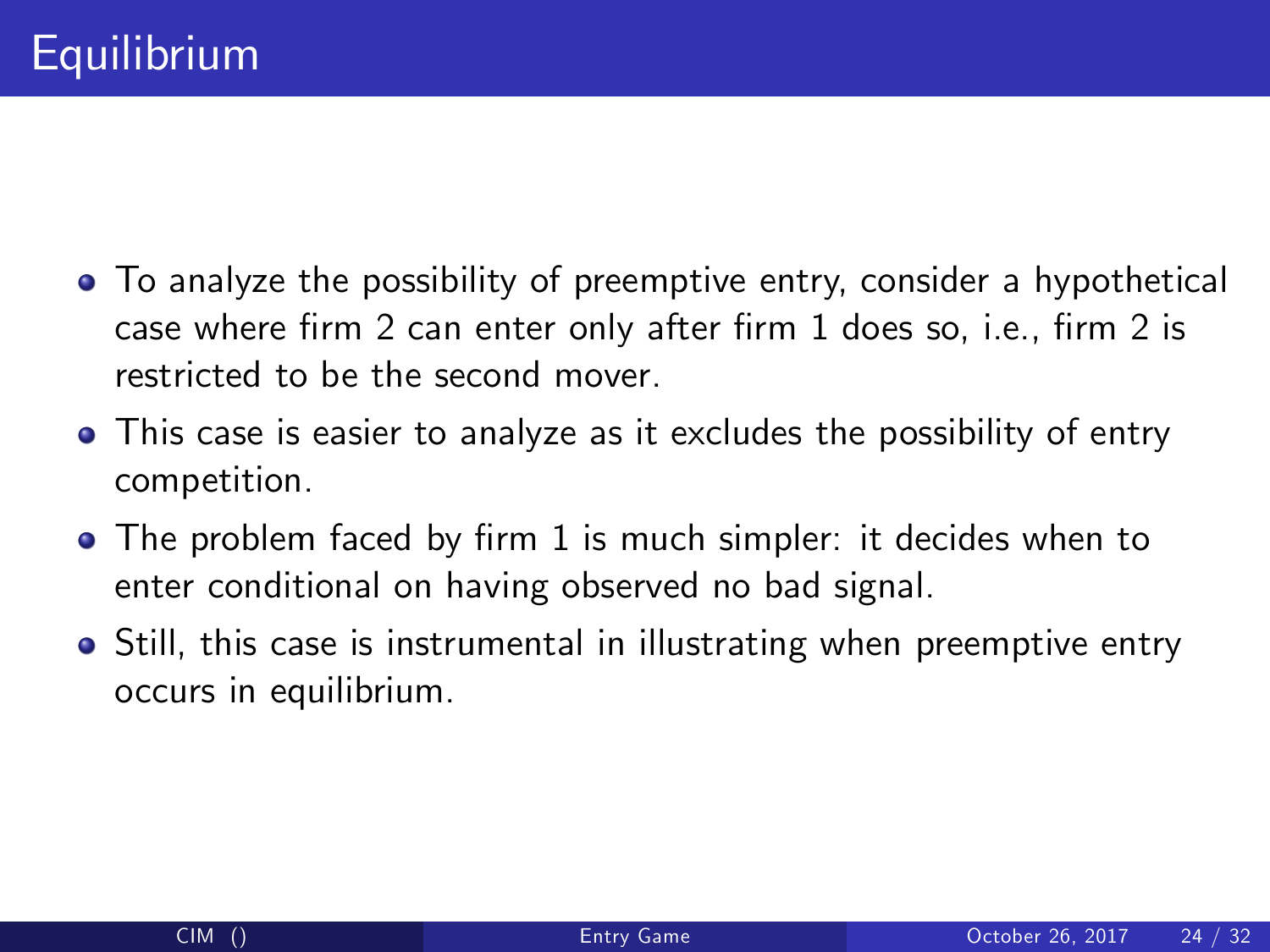- To analyze the possibility of preemptive entry, consider a hypothetical case where firm 2 can enter only after firm  $1$  does so, i.e., firm  $2$  is restricted to be the second mover.
- This case is easier to analyze as it excludes the possibility of entry competition.
- The problem faced by firm 1 is much simpler: it decides when to enter conditional on having observed no bad signal.
- Still, this case is instrumental in illustrating when preemptive entry occurs in equilibrium.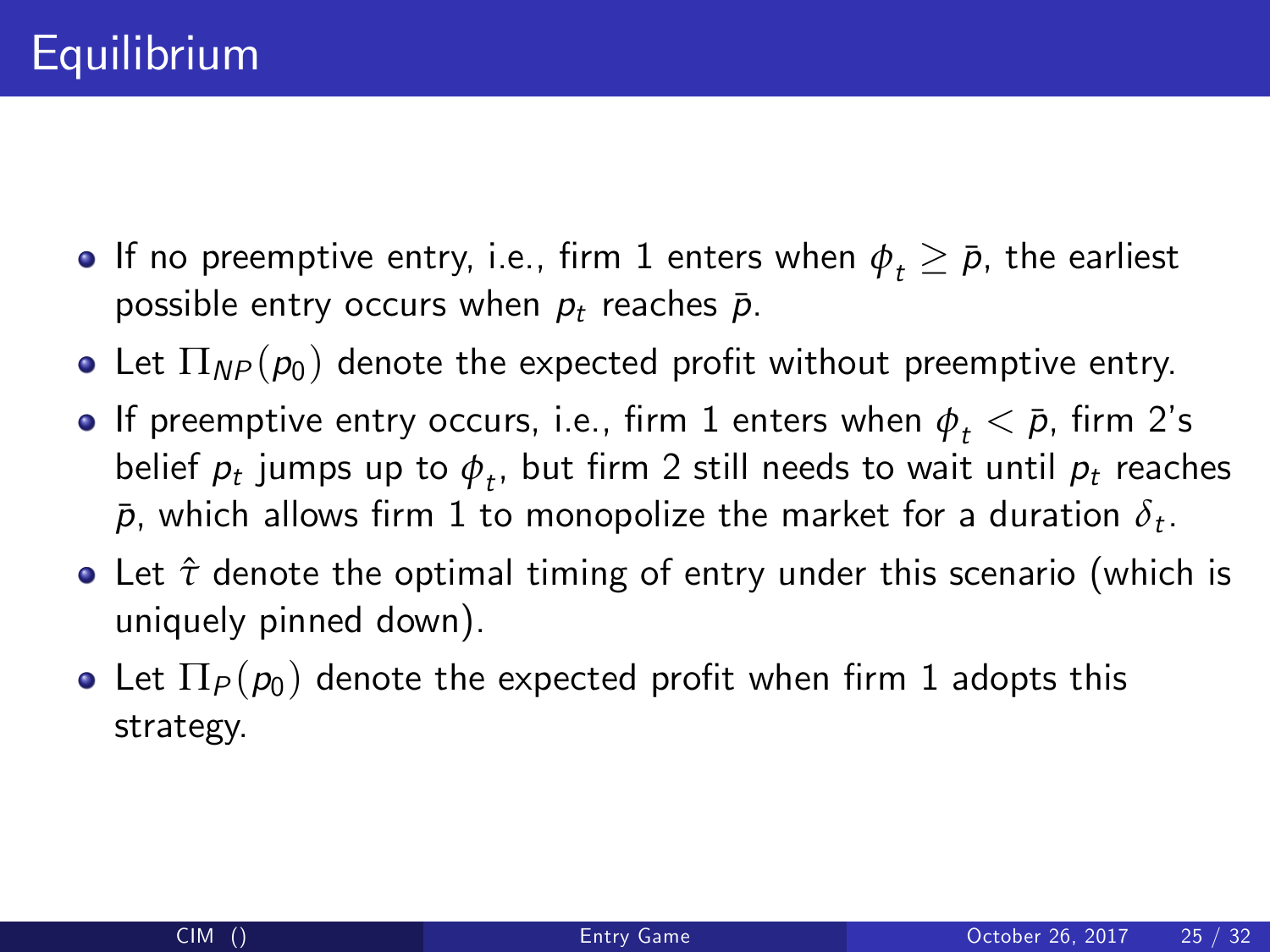- **•** If no preemptive entry, i.e., firm 1 enters when  $\phi_t \ge \bar{p}$ , the earliest possible entry occurs when  $p_t$  reaches  $\bar{p}$ .
- Let  $\Pi_{NP}(p_0)$  denote the expected profit without preemptive entry.
- **If preemptive entry occurs, i.e., firm 1 enters when**  $\phi_t < \bar{p}$ **, firm 2's** belief  $\rho_t$  jumps up to  $\phi_t$ , but firm 2 still needs to wait until  $\rho_t$  reaches  $\bar{p},$  which allows firm  $1$  to monopolize the market for a duration  $\delta_t.$
- Let *τ*ˆ denote the optimal timing of entry under this scenario (which is uniquely pinned down).
- Let  $\Pi_P(p_0)$  denote the expected profit when firm 1 adopts this strategy.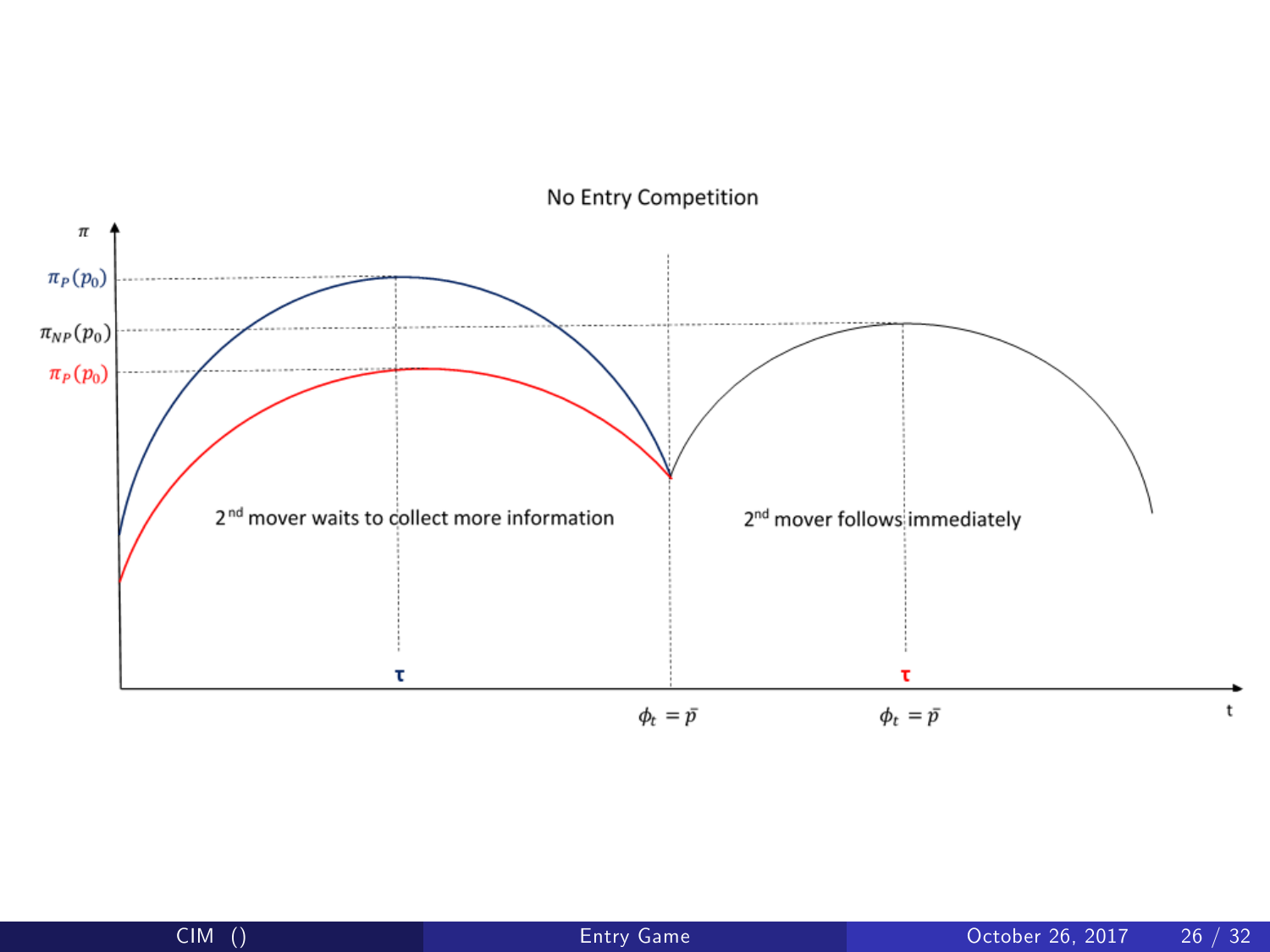

No Entry Competition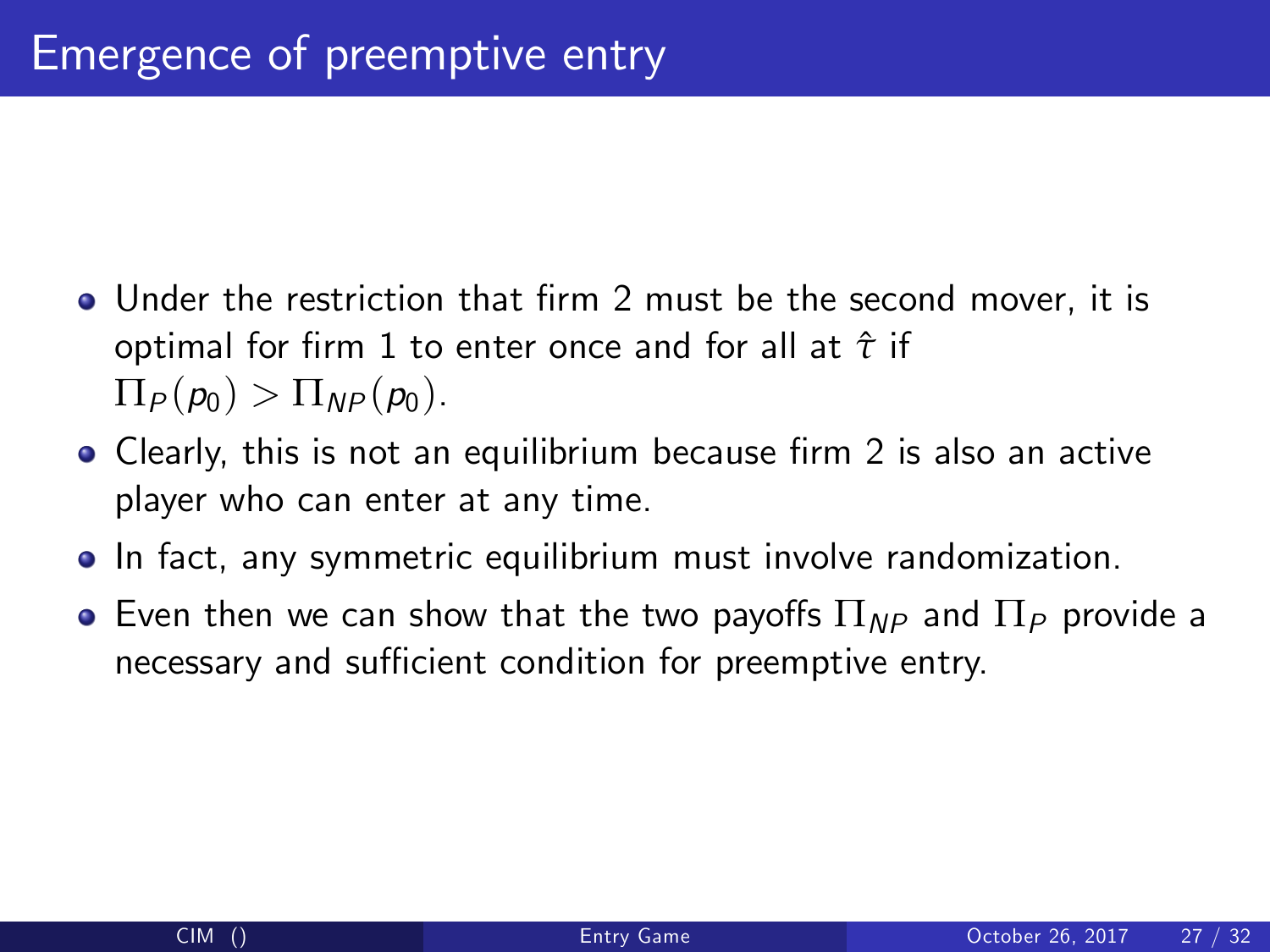- Under the restriction that firm 2 must be the second mover, it is optimal for Örm 1 to enter once and for all at *τ*ˆ if  $\Pi_P(p_0) > \Pi_{NP}(p_0).$
- Clearly, this is not an equilibrium because firm 2 is also an active player who can enter at any time.
- **•** In fact, any symmetric equilibrium must involve randomization.
- $\bullet$  Even then we can show that the two payoffs  $\Pi_{NP}$  and  $\Pi_{P}$  provide a necessary and sufficient condition for preemptive entry.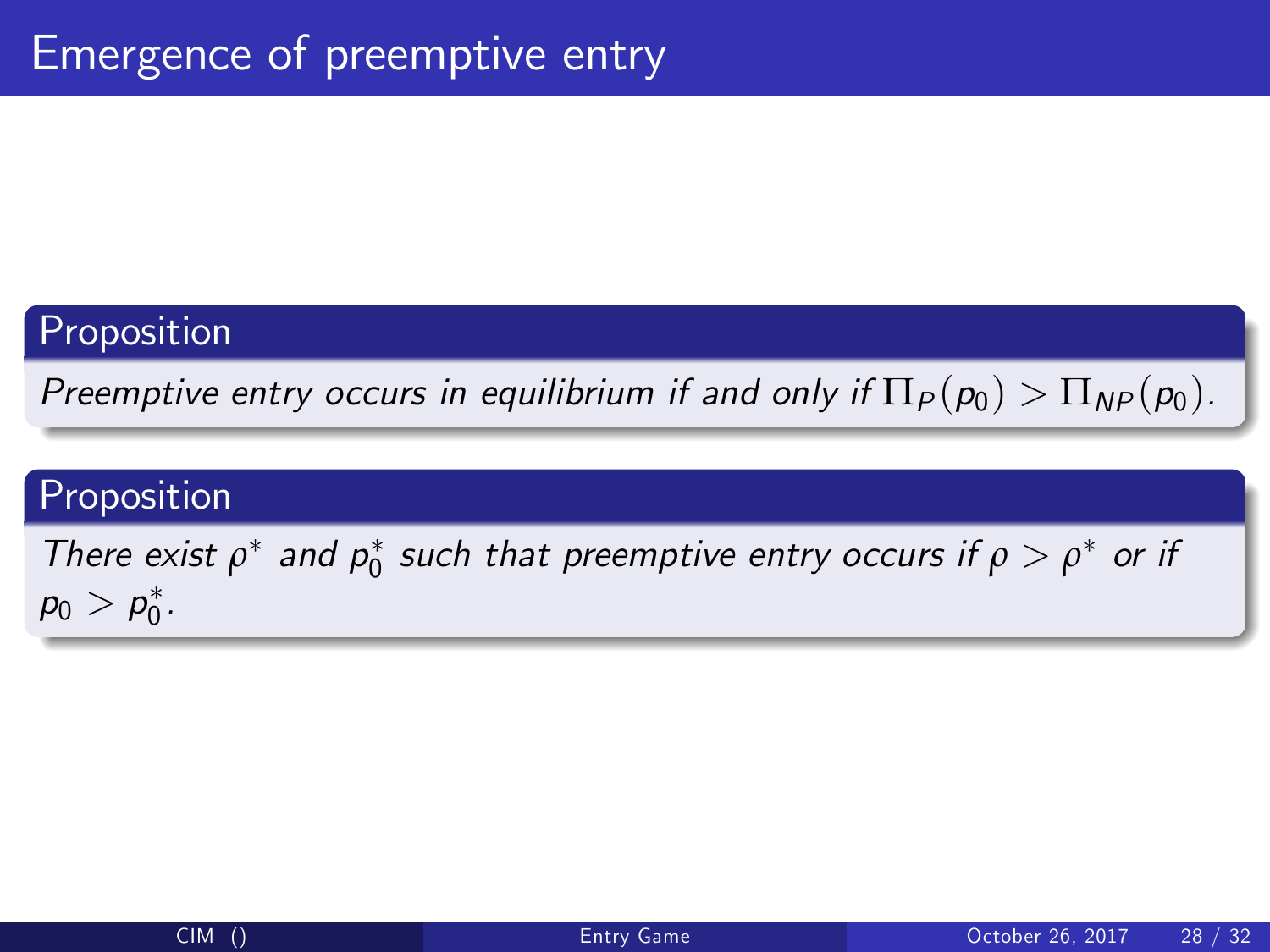Preemptive entry occurs in equilibrium if and only if  $\Pi_P(p_0) > \Pi_{NP}(p_0)$ .

### Proposition

There exist  $\rho^*$  and  $p_0^*$  such that preemptive entry occurs if  $\rho > \rho^*$  or if  $p_0 > p_0^*.$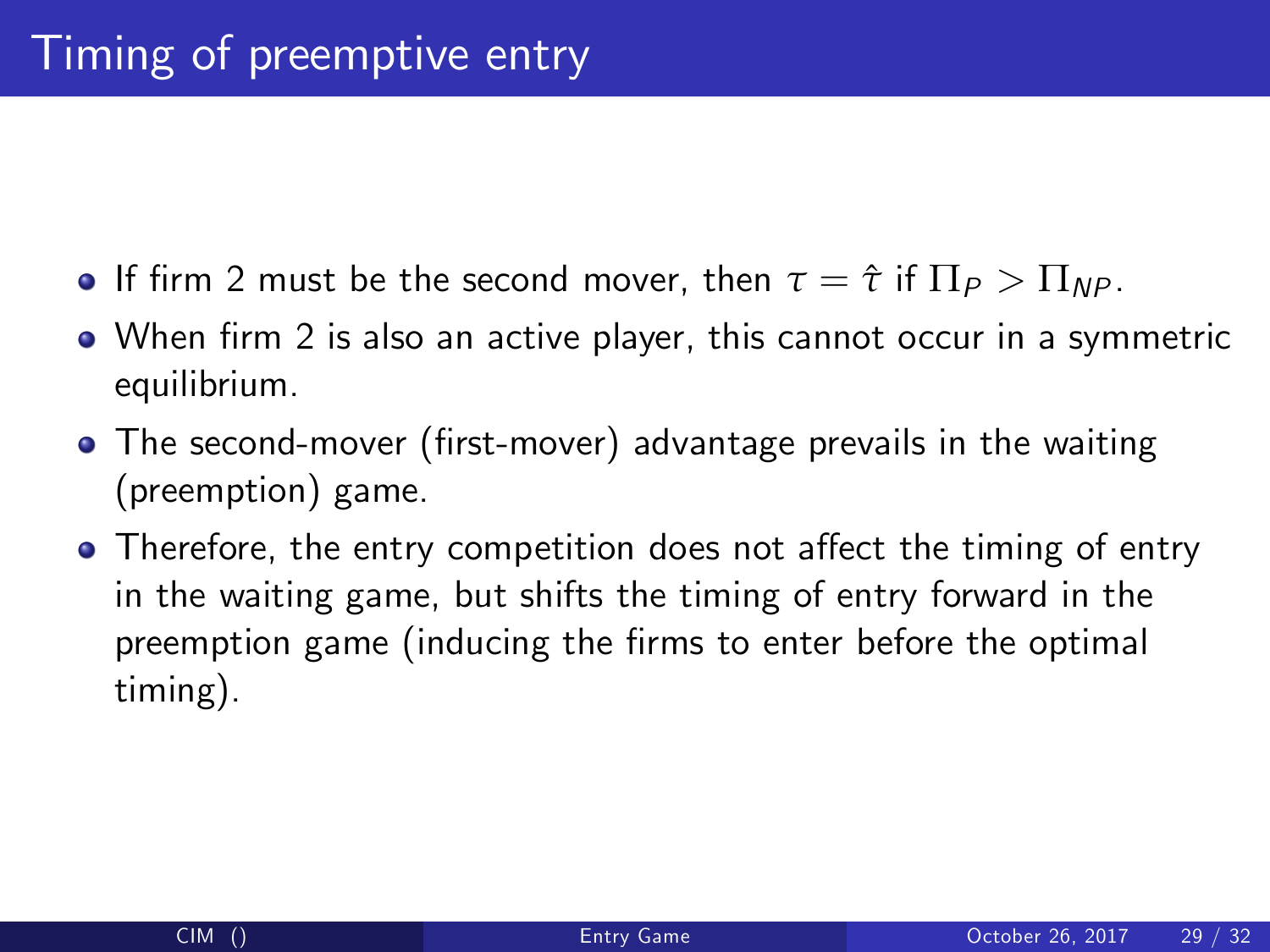- **•** If firm 2 must be the second mover, then  $\tau = \hat{\tau}$  if  $\Pi_P > \Pi_{NP}$ .
- When firm 2 is also an active player, this cannot occur in a symmetric equilibrium.
- The second-mover (first-mover) advantage prevails in the waiting (preemption) game.
- Therefore, the entry competition does not affect the timing of entry in the waiting game, but shifts the timing of entry forward in the preemption game (inducing the firms to enter before the optimal timing).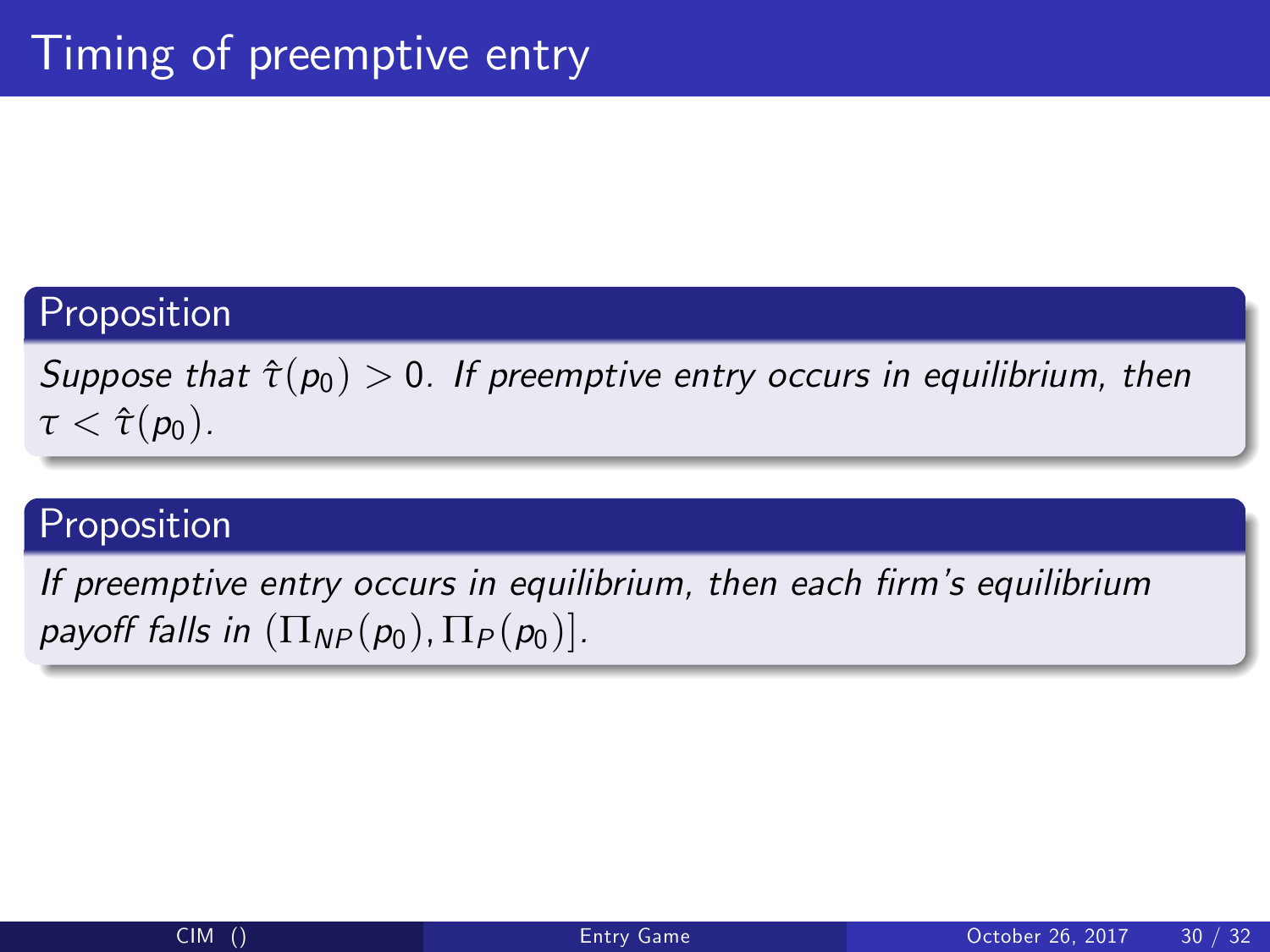Suppose that  $\hat{\tau}(p_0) > 0$ . If preemptive entry occurs in equilibrium, then  $\tau < \hat{\tau}(p_0)$ .

### Proposition

If preemptive entry occurs in equilibrium, then each firm's equilibrium payoff falls in  $(\Pi_{NP}(p_0), \Pi_P(p_0))$ .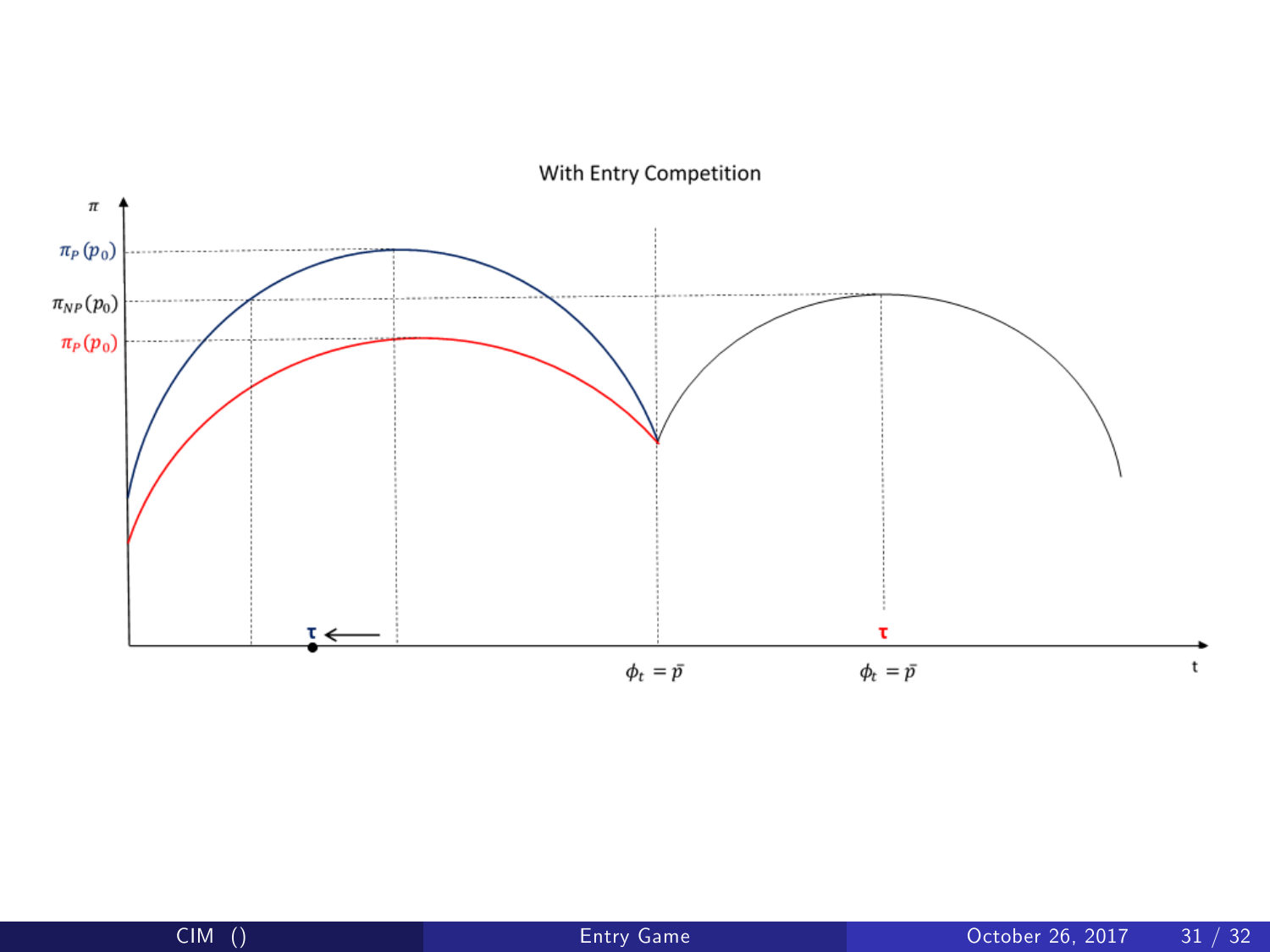

With Entry Competition